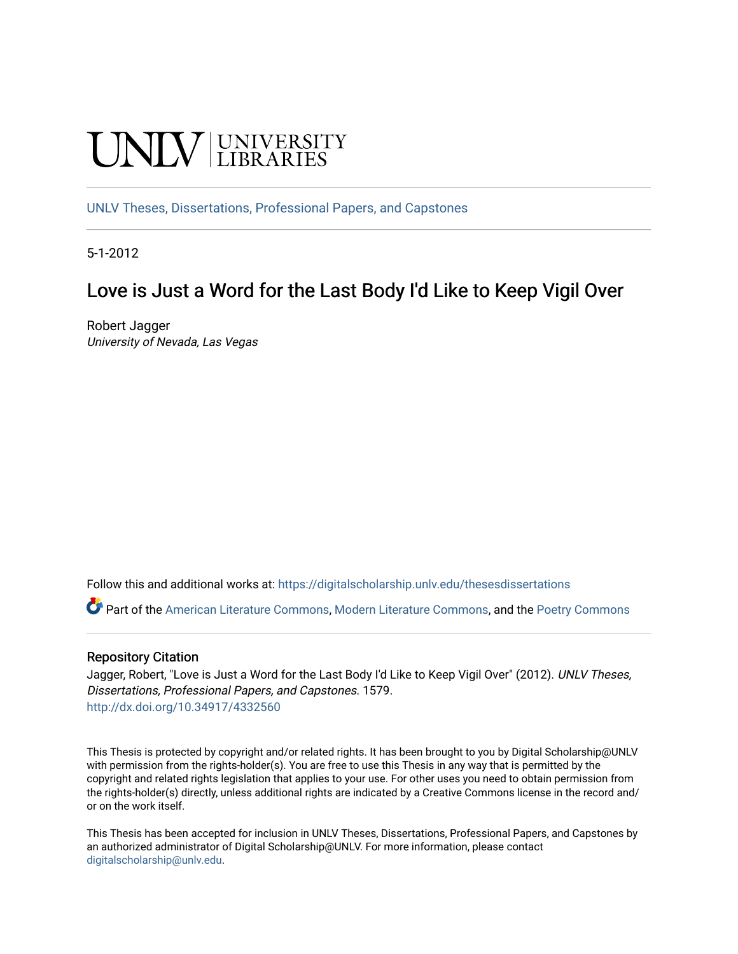# UNIV UNIVERSITY

[UNLV Theses, Dissertations, Professional Papers, and Capstones](https://digitalscholarship.unlv.edu/thesesdissertations)

5-1-2012

## Love is Just a Word for the Last Body I'd Like to Keep Vigil Over

Robert Jagger University of Nevada, Las Vegas

Follow this and additional works at: [https://digitalscholarship.unlv.edu/thesesdissertations](https://digitalscholarship.unlv.edu/thesesdissertations?utm_source=digitalscholarship.unlv.edu%2Fthesesdissertations%2F1579&utm_medium=PDF&utm_campaign=PDFCoverPages)

Part of the [American Literature Commons](http://network.bepress.com/hgg/discipline/441?utm_source=digitalscholarship.unlv.edu%2Fthesesdissertations%2F1579&utm_medium=PDF&utm_campaign=PDFCoverPages), [Modern Literature Commons](http://network.bepress.com/hgg/discipline/1050?utm_source=digitalscholarship.unlv.edu%2Fthesesdissertations%2F1579&utm_medium=PDF&utm_campaign=PDFCoverPages), and the [Poetry Commons](http://network.bepress.com/hgg/discipline/1153?utm_source=digitalscholarship.unlv.edu%2Fthesesdissertations%2F1579&utm_medium=PDF&utm_campaign=PDFCoverPages) 

#### Repository Citation

Jagger, Robert, "Love is Just a Word for the Last Body I'd Like to Keep Vigil Over" (2012). UNLV Theses, Dissertations, Professional Papers, and Capstones. 1579. <http://dx.doi.org/10.34917/4332560>

This Thesis is protected by copyright and/or related rights. It has been brought to you by Digital Scholarship@UNLV with permission from the rights-holder(s). You are free to use this Thesis in any way that is permitted by the copyright and related rights legislation that applies to your use. For other uses you need to obtain permission from the rights-holder(s) directly, unless additional rights are indicated by a Creative Commons license in the record and/ or on the work itself.

This Thesis has been accepted for inclusion in UNLV Theses, Dissertations, Professional Papers, and Capstones by an authorized administrator of Digital Scholarship@UNLV. For more information, please contact [digitalscholarship@unlv.edu](mailto:digitalscholarship@unlv.edu).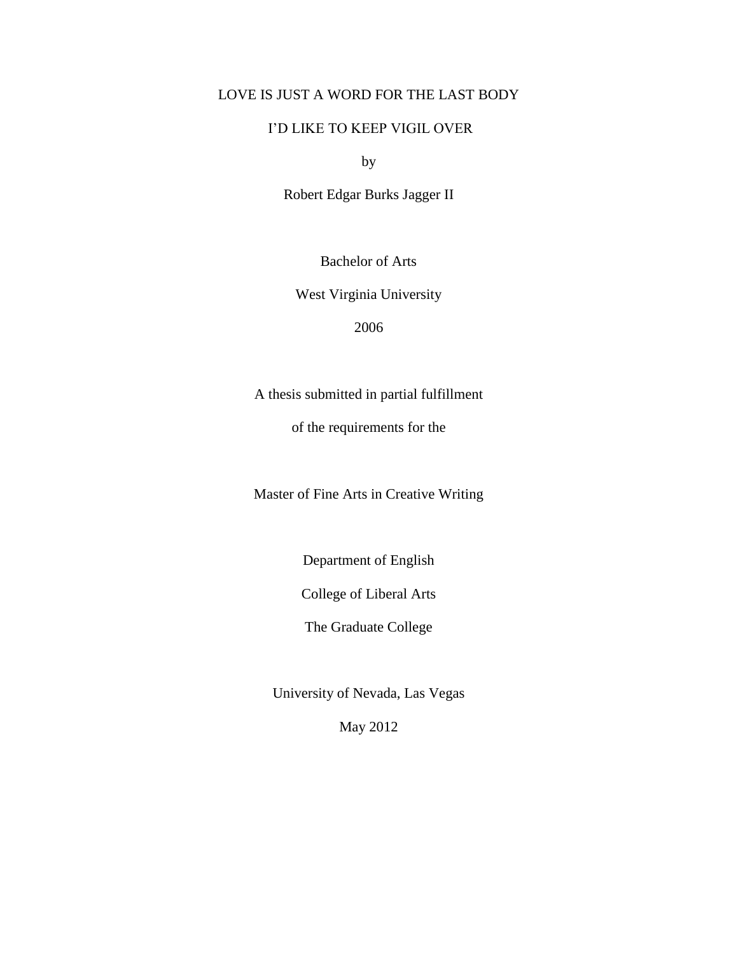## LOVE IS JUST A WORD FOR THE LAST BODY

## I'D LIKE TO KEEP VIGIL OVER

by

Robert Edgar Burks Jagger II

Bachelor of Arts

West Virginia University

2006

A thesis submitted in partial fulfillment

of the requirements for the

Master of Fine Arts in Creative Writing

Department of English

College of Liberal Arts

The Graduate College

University of Nevada, Las Vegas

May 2012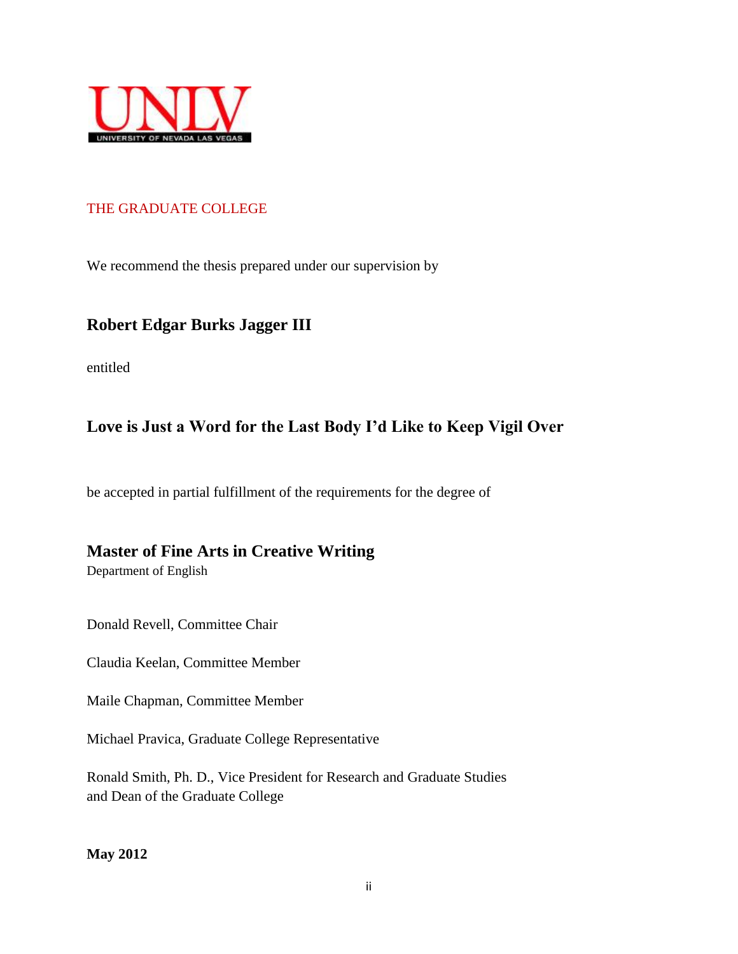

## THE GRADUATE COLLEGE

We recommend the thesis prepared under our supervision by

## **Robert Edgar Burks Jagger III**

entitled

## **Love is Just a Word for the Last Body I'd Like to Keep Vigil Over**

be accepted in partial fulfillment of the requirements for the degree of

## **Master of Fine Arts in Creative Writing**

Department of English

Donald Revell, Committee Chair

Claudia Keelan, Committee Member

Maile Chapman, Committee Member

Michael Pravica, Graduate College Representative

Ronald Smith, Ph. D., Vice President for Research and Graduate Studies and Dean of the Graduate College

**May 2012**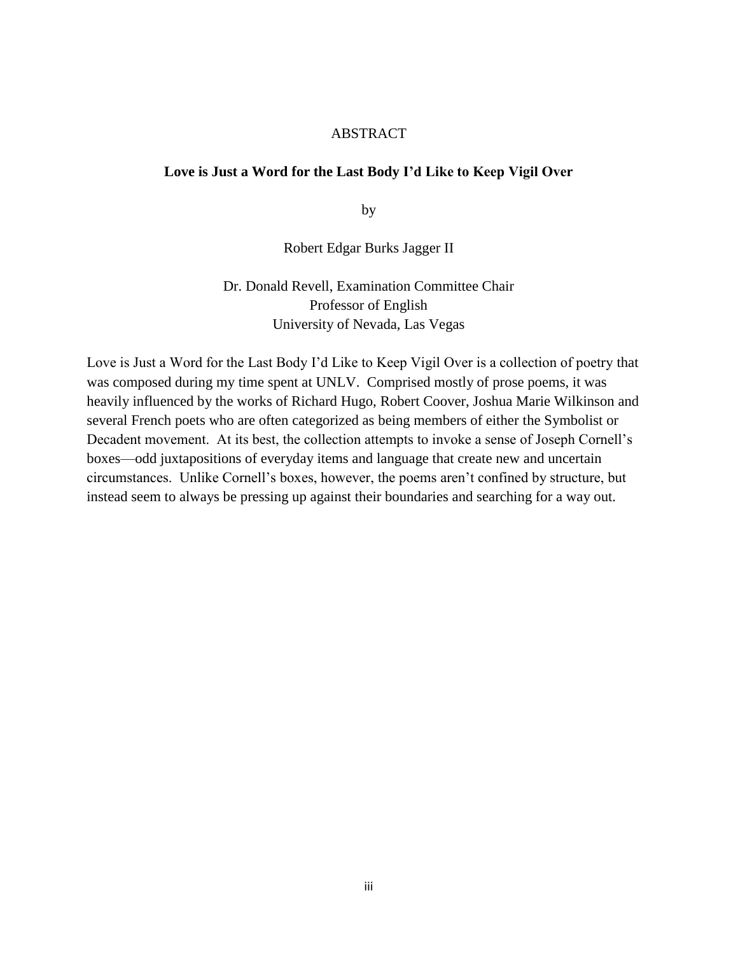#### ABSTRACT

## **Love is Just a Word for the Last Body I'd Like to Keep Vigil Over**

by

#### Robert Edgar Burks Jagger II

## Dr. Donald Revell, Examination Committee Chair Professor of English University of Nevada, Las Vegas

Love is Just a Word for the Last Body I'd Like to Keep Vigil Over is a collection of poetry that was composed during my time spent at UNLV. Comprised mostly of prose poems, it was heavily influenced by the works of Richard Hugo, Robert Coover, Joshua Marie Wilkinson and several French poets who are often categorized as being members of either the Symbolist or Decadent movement. At its best, the collection attempts to invoke a sense of Joseph Cornell's boxes—odd juxtapositions of everyday items and language that create new and uncertain circumstances. Unlike Cornell's boxes, however, the poems aren't confined by structure, but instead seem to always be pressing up against their boundaries and searching for a way out.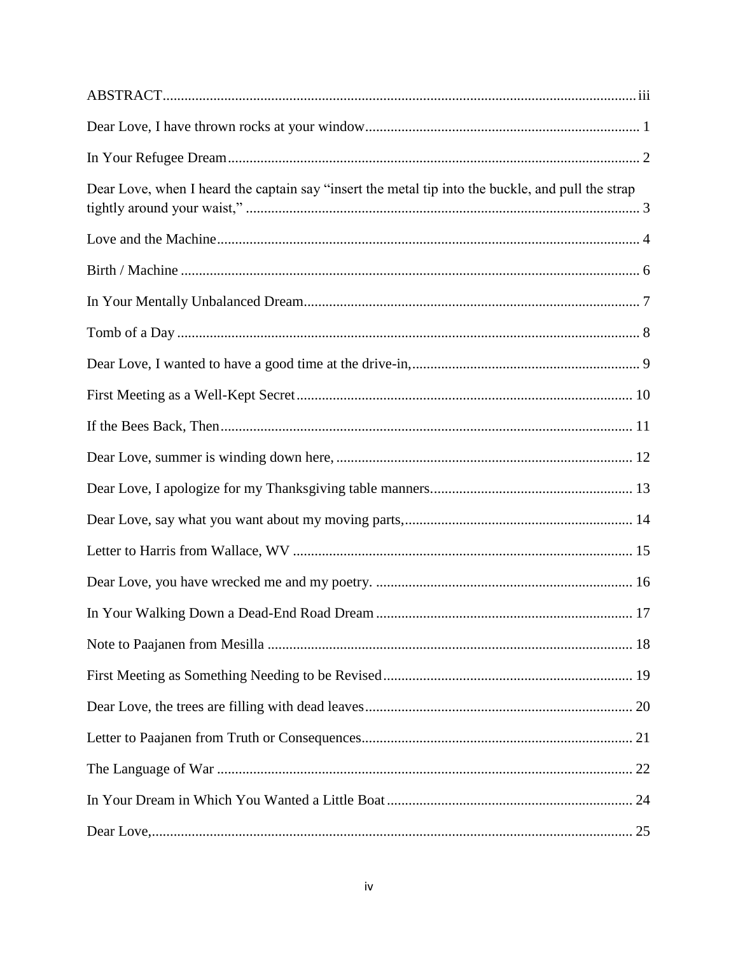| Dear Love, when I heard the captain say "insert the metal tip into the buckle, and pull the strap |  |
|---------------------------------------------------------------------------------------------------|--|
|                                                                                                   |  |
|                                                                                                   |  |
|                                                                                                   |  |
|                                                                                                   |  |
|                                                                                                   |  |
|                                                                                                   |  |
|                                                                                                   |  |
|                                                                                                   |  |
|                                                                                                   |  |
|                                                                                                   |  |
|                                                                                                   |  |
|                                                                                                   |  |
|                                                                                                   |  |
|                                                                                                   |  |
|                                                                                                   |  |
|                                                                                                   |  |
|                                                                                                   |  |
|                                                                                                   |  |
|                                                                                                   |  |
|                                                                                                   |  |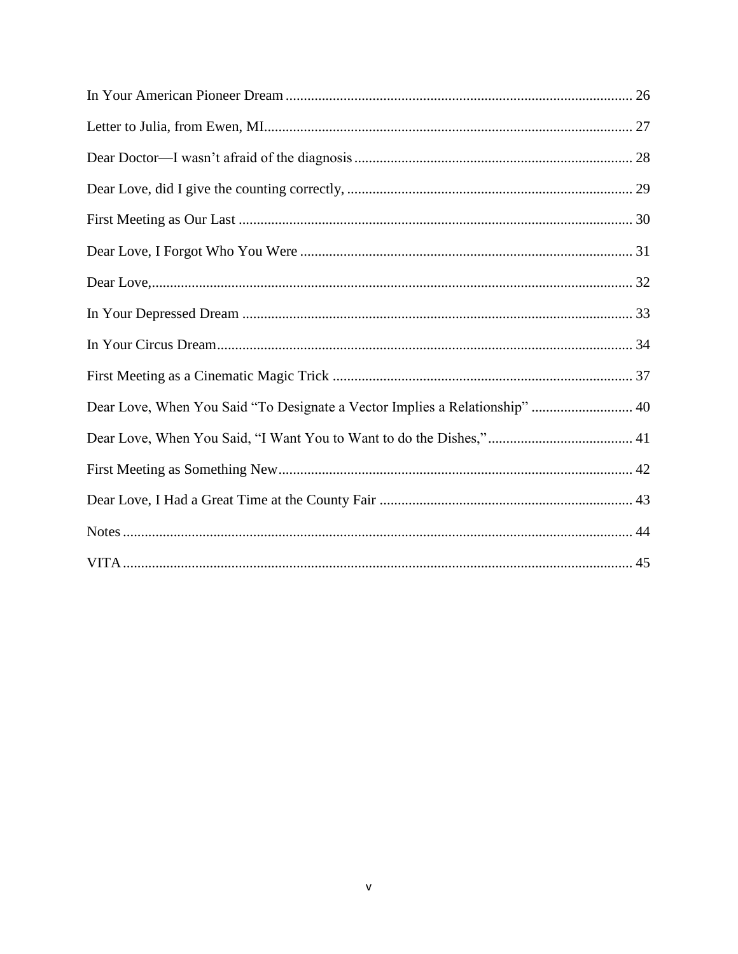| Dear Love, When You Said "To Designate a Vector Implies a Relationship"  40 |  |
|-----------------------------------------------------------------------------|--|
|                                                                             |  |
|                                                                             |  |
|                                                                             |  |
|                                                                             |  |
|                                                                             |  |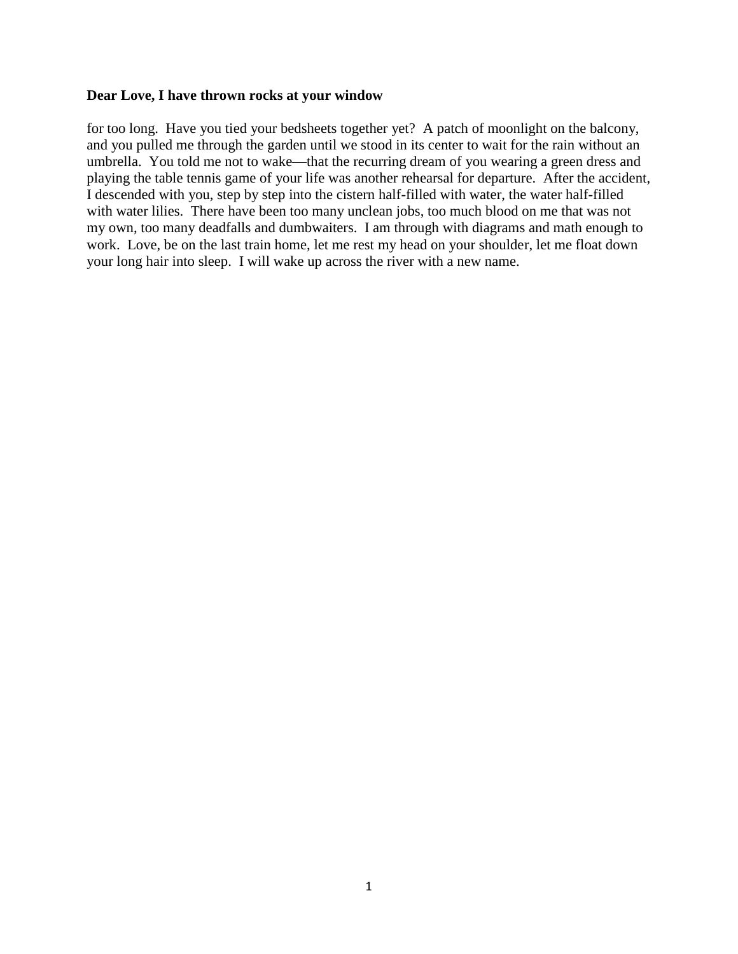#### **Dear Love, I have thrown rocks at your window**

for too long. Have you tied your bedsheets together yet? A patch of moonlight on the balcony, and you pulled me through the garden until we stood in its center to wait for the rain without an umbrella. You told me not to wake—that the recurring dream of you wearing a green dress and playing the table tennis game of your life was another rehearsal for departure. After the accident, I descended with you, step by step into the cistern half-filled with water, the water half-filled with water lilies. There have been too many unclean jobs, too much blood on me that was not my own, too many deadfalls and dumbwaiters. I am through with diagrams and math enough to work. Love, be on the last train home, let me rest my head on your shoulder, let me float down your long hair into sleep. I will wake up across the river with a new name.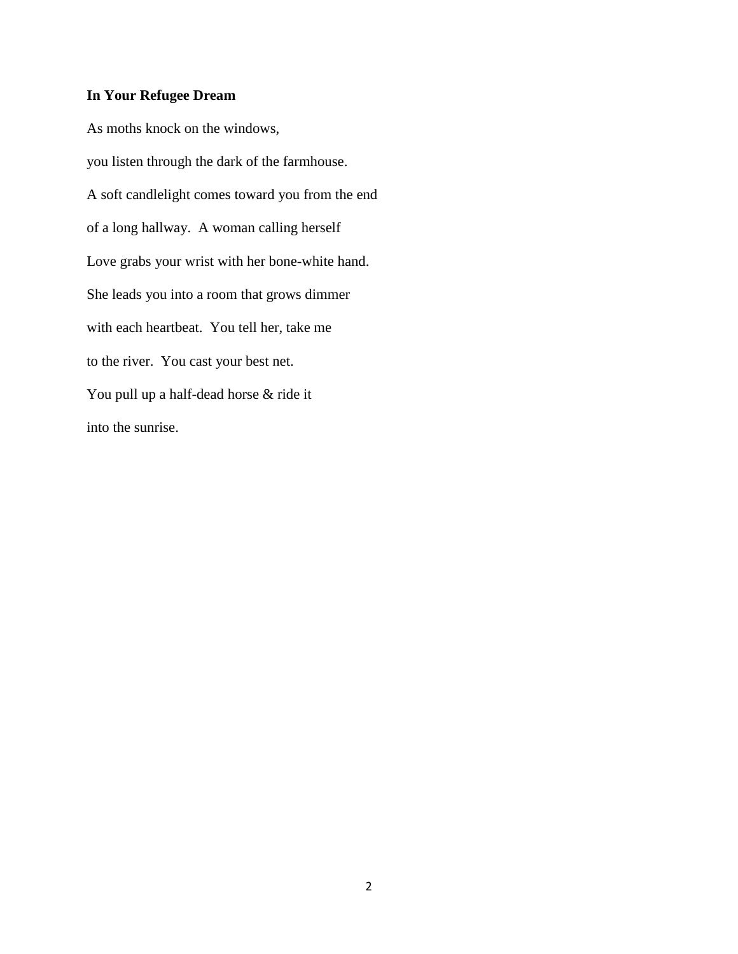## **In Your Refugee Dream**

As moths knock on the windows, you listen through the dark of the farmhouse. A soft candlelight comes toward you from the end of a long hallway. A woman calling herself Love grabs your wrist with her bone-white hand. She leads you into a room that grows dimmer with each heartbeat. You tell her, take me to the river. You cast your best net. You pull up a half-dead horse & ride it into the sunrise.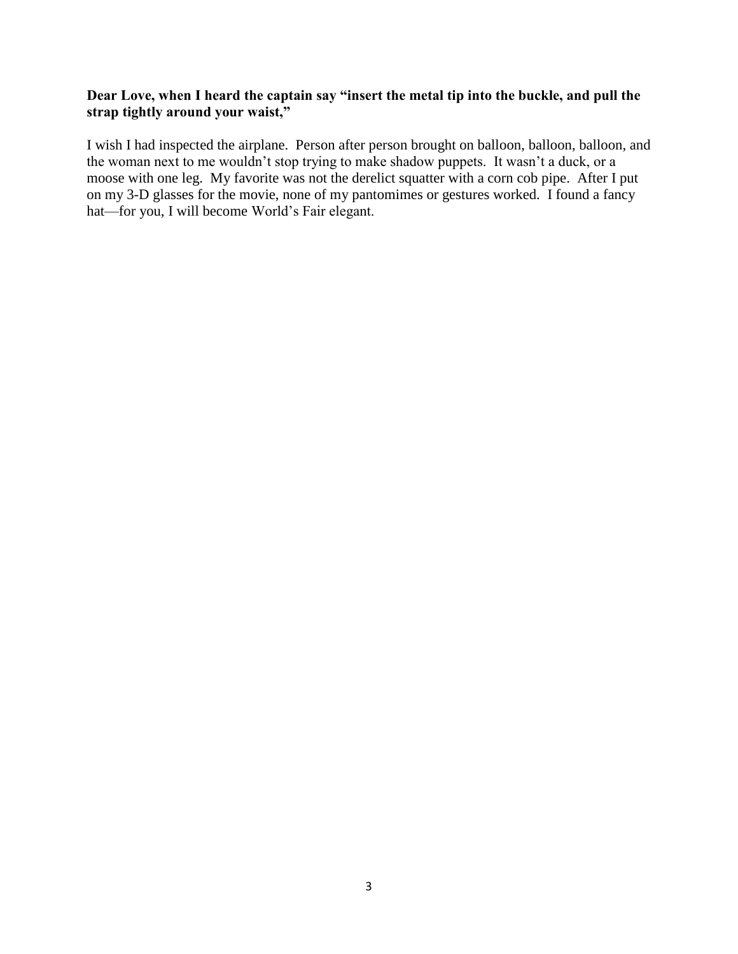## **Dear Love, when I heard the captain say "insert the metal tip into the buckle, and pull the strap tightly around your waist,"**

I wish I had inspected the airplane. Person after person brought on balloon, balloon, balloon, and the woman next to me wouldn't stop trying to make shadow puppets. It wasn't a duck, or a moose with one leg. My favorite was not the derelict squatter with a corn cob pipe. After I put on my 3-D glasses for the movie, none of my pantomimes or gestures worked. I found a fancy hat—for you, I will become World's Fair elegant.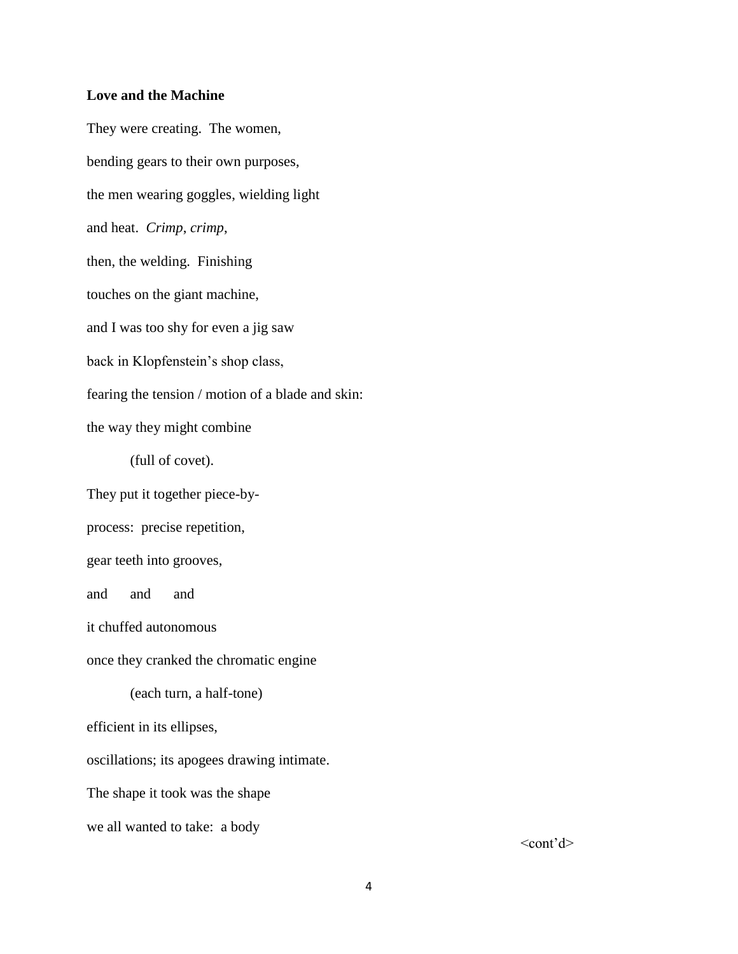#### **Love and the Machine**

They were creating. The women, bending gears to their own purposes, the men wearing goggles, wielding light and heat. *Crimp*, *crimp*, then, the welding. Finishing touches on the giant machine, and I was too shy for even a jig saw back in Klopfenstein's shop class, fearing the tension / motion of a blade and skin: the way they might combine (full of covet). They put it together piece-byprocess: precise repetition, gear teeth into grooves, and and and it chuffed autonomous once they cranked the chromatic engine (each turn, a half-tone) efficient in its ellipses, oscillations; its apogees drawing intimate. The shape it took was the shape we all wanted to take: a body

 $<$ cont'd $>$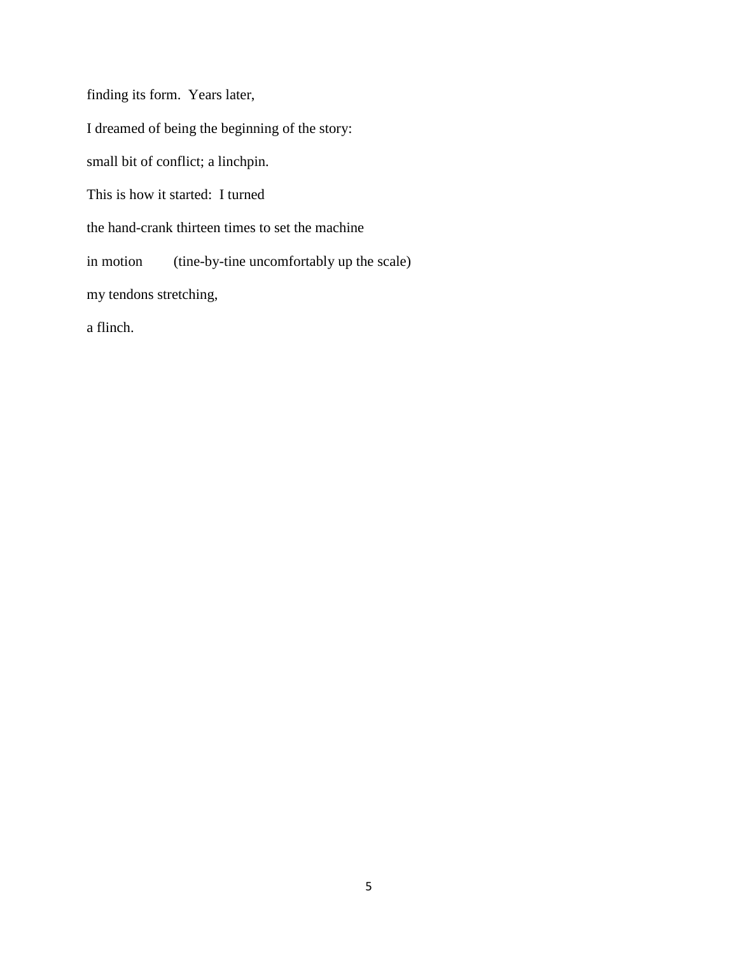finding its form. Years later,

I dreamed of being the beginning of the story:

small bit of conflict; a linchpin.

This is how it started: I turned

the hand-crank thirteen times to set the machine

in motion (tine-by-tine uncomfortably up the scale)

my tendons stretching,

a flinch.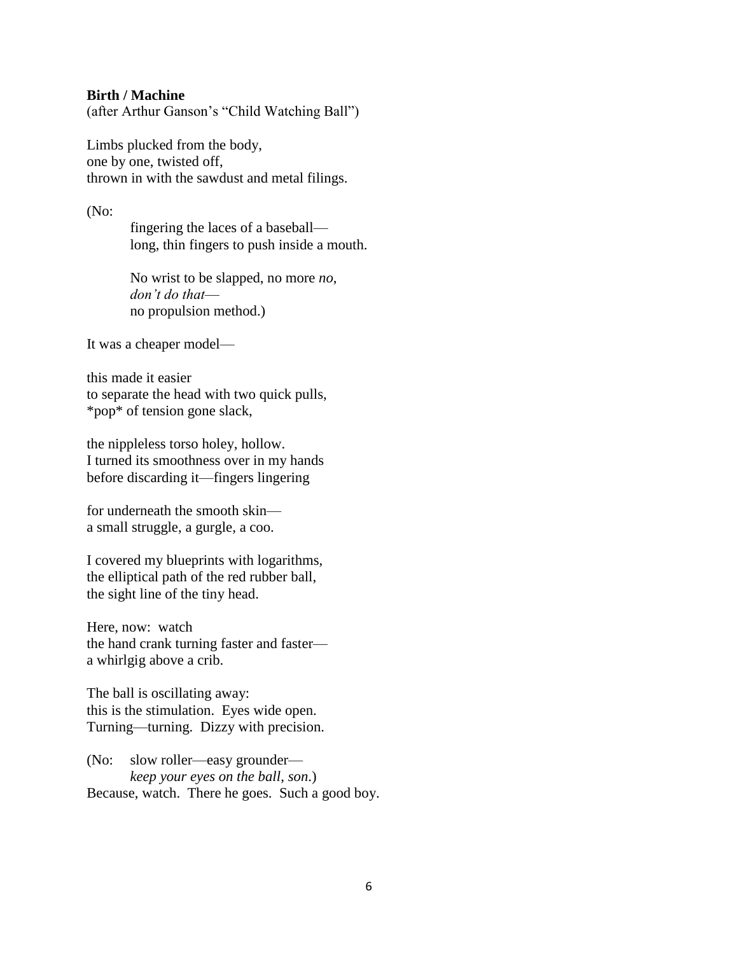#### **Birth / Machine**

(after Arthur Ganson's "Child Watching Ball")

Limbs plucked from the body, one by one, twisted off, thrown in with the sawdust and metal filings.

(No:

fingering the laces of a baseball long, thin fingers to push inside a mouth.

No wrist to be slapped, no more *no*, *don't do that* no propulsion method.)

It was a cheaper model—

this made it easier to separate the head with two quick pulls, \*pop\* of tension gone slack,

the nippleless torso holey, hollow. I turned its smoothness over in my hands before discarding it—fingers lingering

for underneath the smooth skin a small struggle, a gurgle, a coo.

I covered my blueprints with logarithms, the elliptical path of the red rubber ball, the sight line of the tiny head.

Here, now: watch the hand crank turning faster and faster a whirlgig above a crib.

The ball is oscillating away: this is the stimulation. Eyes wide open. Turning—turning. Dizzy with precision.

(No: slow roller—easy grounder *keep your eyes on the ball*, *son*.) Because, watch. There he goes. Such a good boy.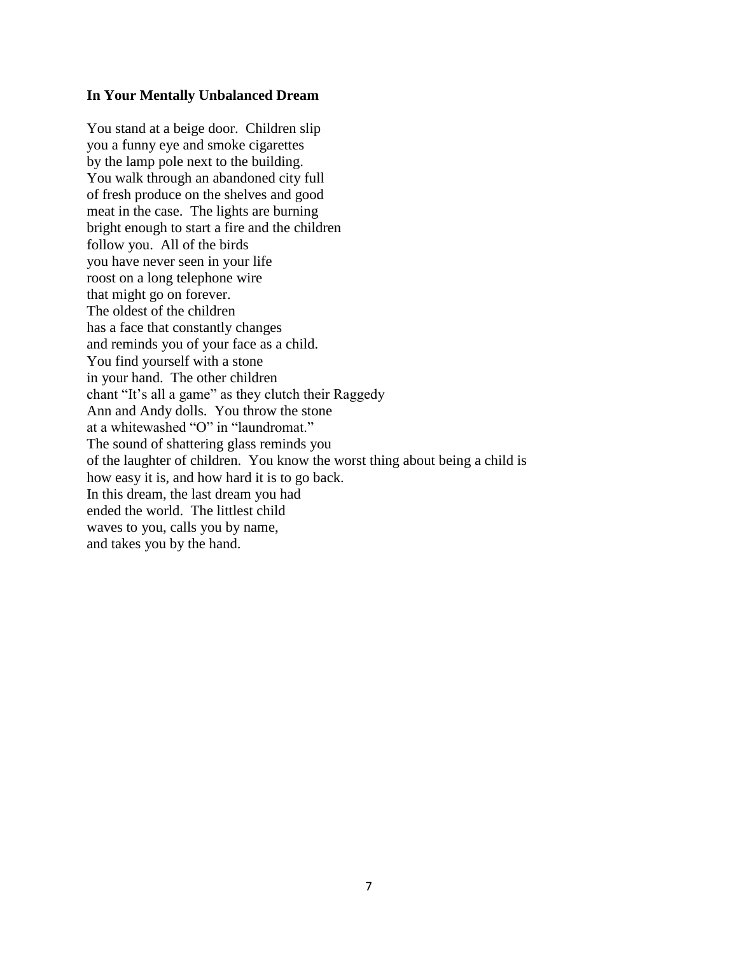#### **In Your Mentally Unbalanced Dream**

You stand at a beige door. Children slip you a funny eye and smoke cigarettes by the lamp pole next to the building. You walk through an abandoned city full of fresh produce on the shelves and good meat in the case. The lights are burning bright enough to start a fire and the children follow you. All of the birds you have never seen in your life roost on a long telephone wire that might go on forever. The oldest of the children has a face that constantly changes and reminds you of your face as a child. You find yourself with a stone in your hand. The other children chant "It's all a game" as they clutch their Raggedy Ann and Andy dolls. You throw the stone at a whitewashed "O" in "laundromat." The sound of shattering glass reminds you of the laughter of children. You know the worst thing about being a child is how easy it is, and how hard it is to go back. In this dream, the last dream you had ended the world. The littlest child waves to you, calls you by name, and takes you by the hand.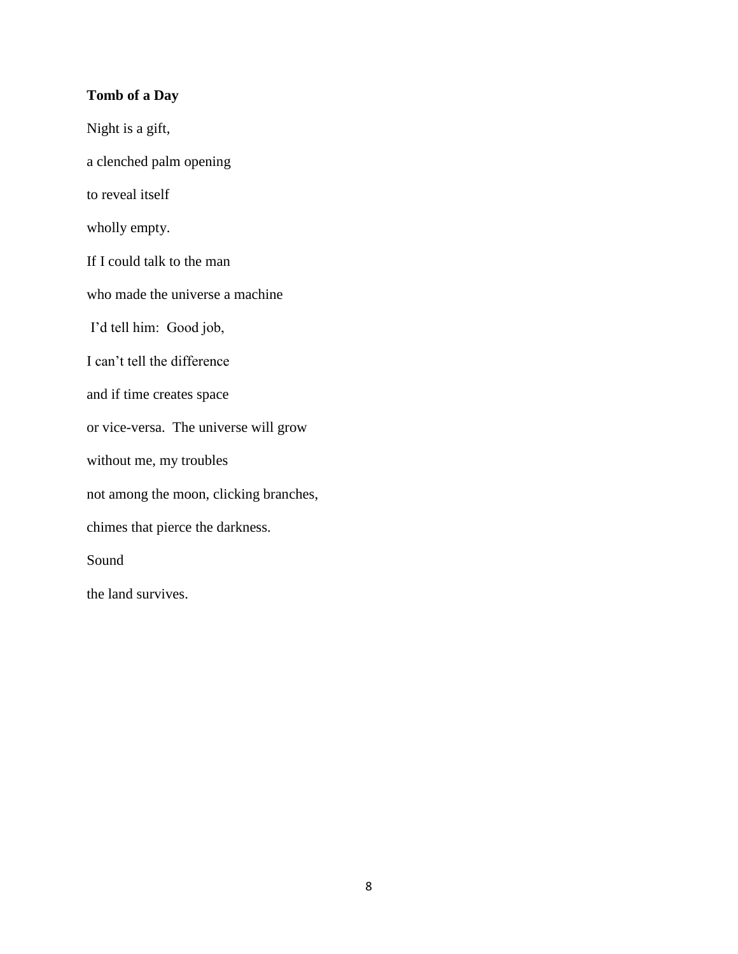## **Tomb of a Day**

Night is a gift, a clenched palm opening to reveal itself wholly empty. If I could talk to the man who made the universe a machine I'd tell him: Good job, I can't tell the difference and if time creates space or vice-versa. The universe will grow without me, my troubles not among the moon, clicking branches, chimes that pierce the darkness. Sound the land survives.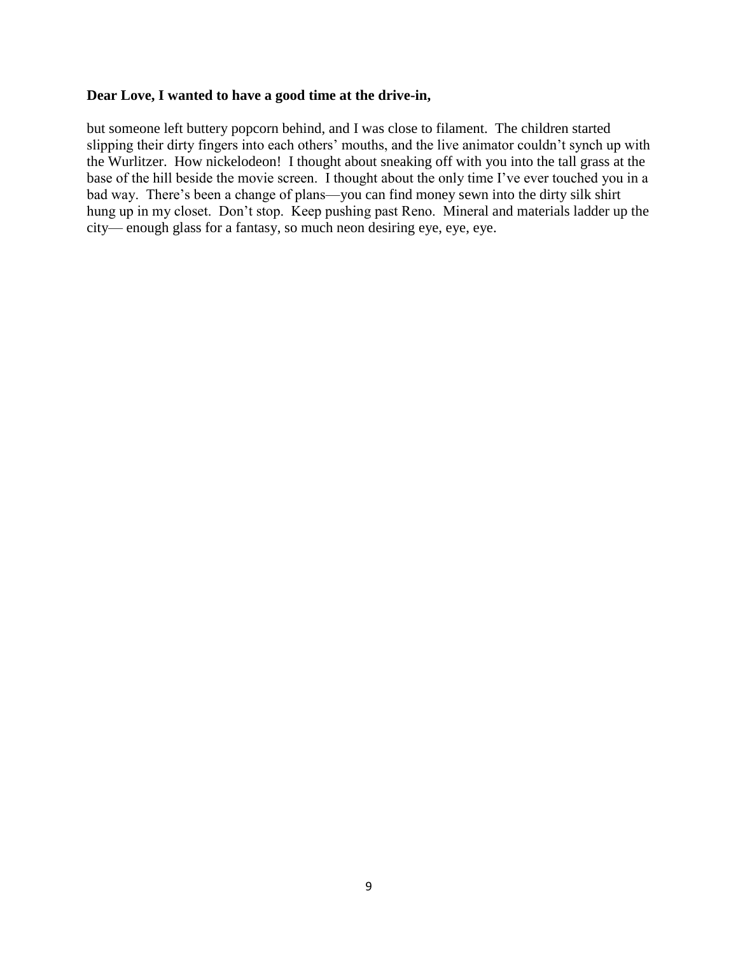#### **Dear Love, I wanted to have a good time at the drive-in,**

but someone left buttery popcorn behind, and I was close to filament. The children started slipping their dirty fingers into each others' mouths, and the live animator couldn't synch up with the Wurlitzer. How nickelodeon! I thought about sneaking off with you into the tall grass at the base of the hill beside the movie screen. I thought about the only time I've ever touched you in a bad way. There's been a change of plans—you can find money sewn into the dirty silk shirt hung up in my closet. Don't stop. Keep pushing past Reno. Mineral and materials ladder up the city— enough glass for a fantasy, so much neon desiring eye, eye, eye.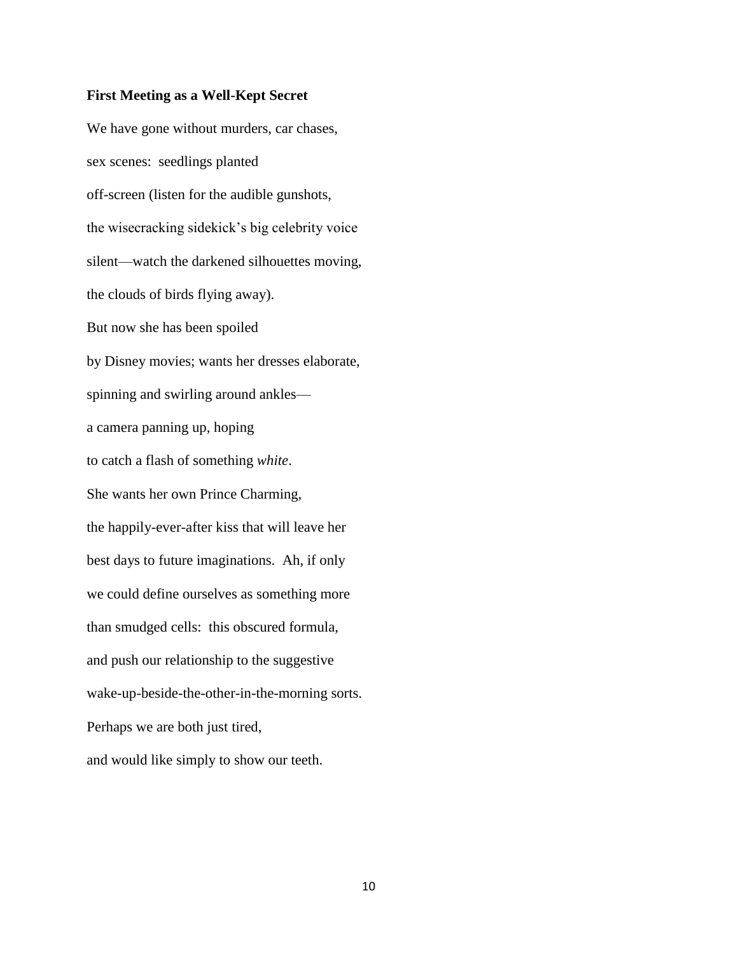#### **First Meeting as a Well-Kept Secret**

We have gone without murders, car chases, sex scenes: seedlings planted off-screen (listen for the audible gunshots, the wisecracking sidekick's big celebrity voice silent—watch the darkened silhouettes moving, the clouds of birds flying away). But now she has been spoiled by Disney movies; wants her dresses elaborate, spinning and swirling around ankles a camera panning up, hoping to catch a flash of something *white*. She wants her own Prince Charming, the happily-ever-after kiss that will leave her best days to future imaginations. Ah, if only we could define ourselves as something more than smudged cells: this obscured formula, and push our relationship to the suggestive wake-up-beside-the-other-in-the-morning sorts. Perhaps we are both just tired, and would like simply to show our teeth.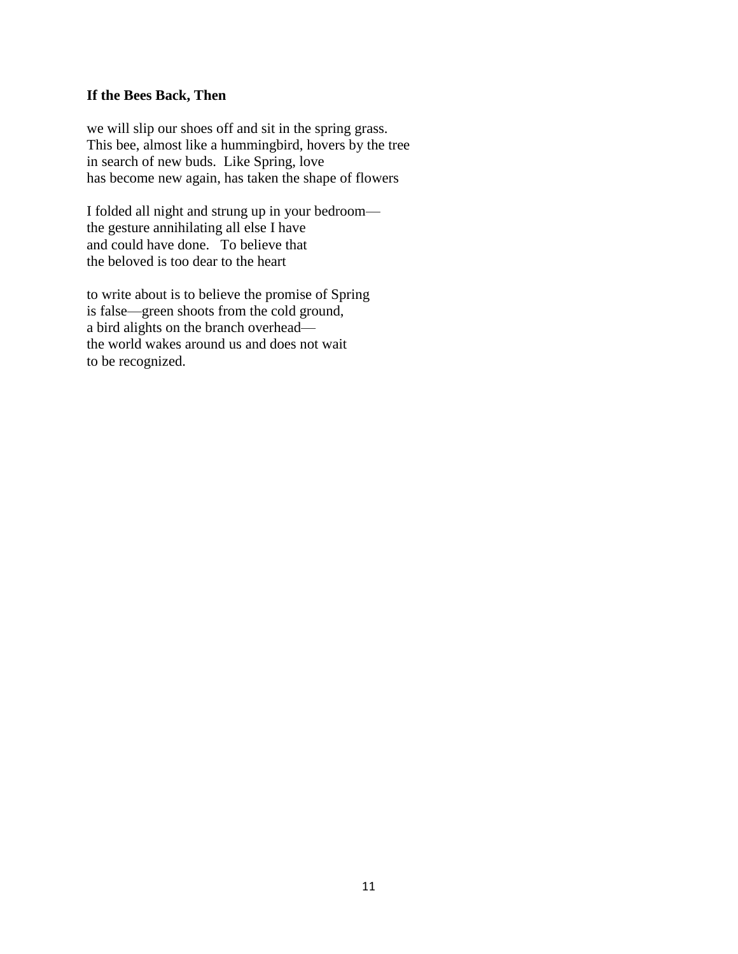#### **If the Bees Back, Then**

we will slip our shoes off and sit in the spring grass. This bee, almost like a hummingbird, hovers by the tree in search of new buds. Like Spring, love has become new again, has taken the shape of flowers

I folded all night and strung up in your bedroom the gesture annihilating all else I have and could have done. To believe that the beloved is too dear to the heart

to write about is to believe the promise of Spring is false—green shoots from the cold ground, a bird alights on the branch overhead the world wakes around us and does not wait to be recognized.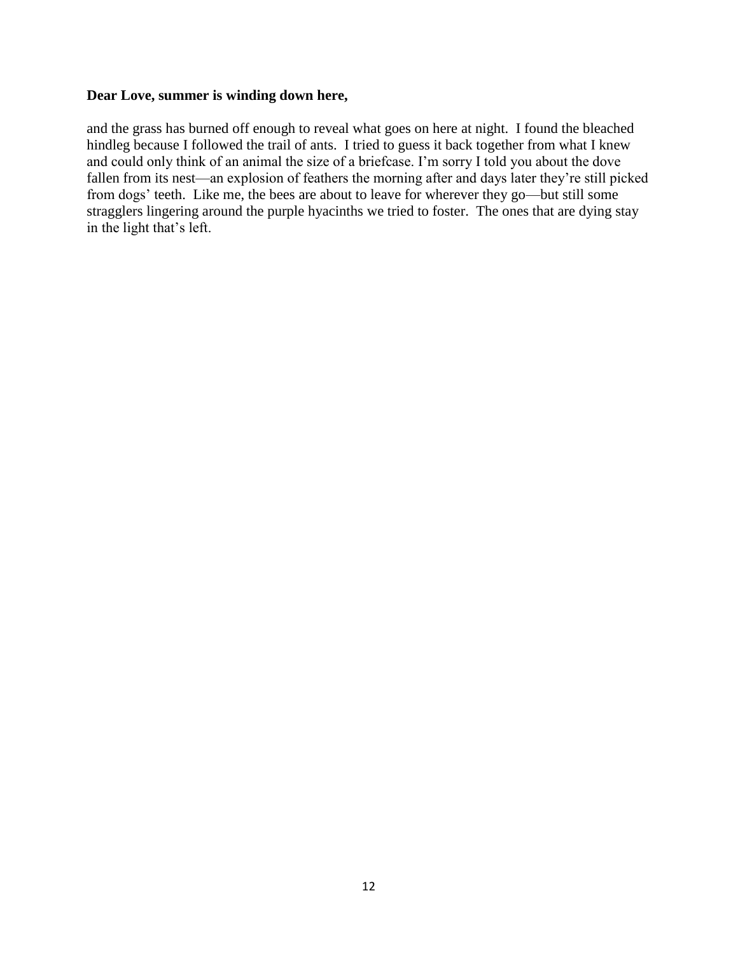#### **Dear Love, summer is winding down here,**

and the grass has burned off enough to reveal what goes on here at night. I found the bleached hindleg because I followed the trail of ants. I tried to guess it back together from what I knew and could only think of an animal the size of a briefcase. I'm sorry I told you about the dove fallen from its nest—an explosion of feathers the morning after and days later they're still picked from dogs' teeth. Like me, the bees are about to leave for wherever they go—but still some stragglers lingering around the purple hyacinths we tried to foster. The ones that are dying stay in the light that's left.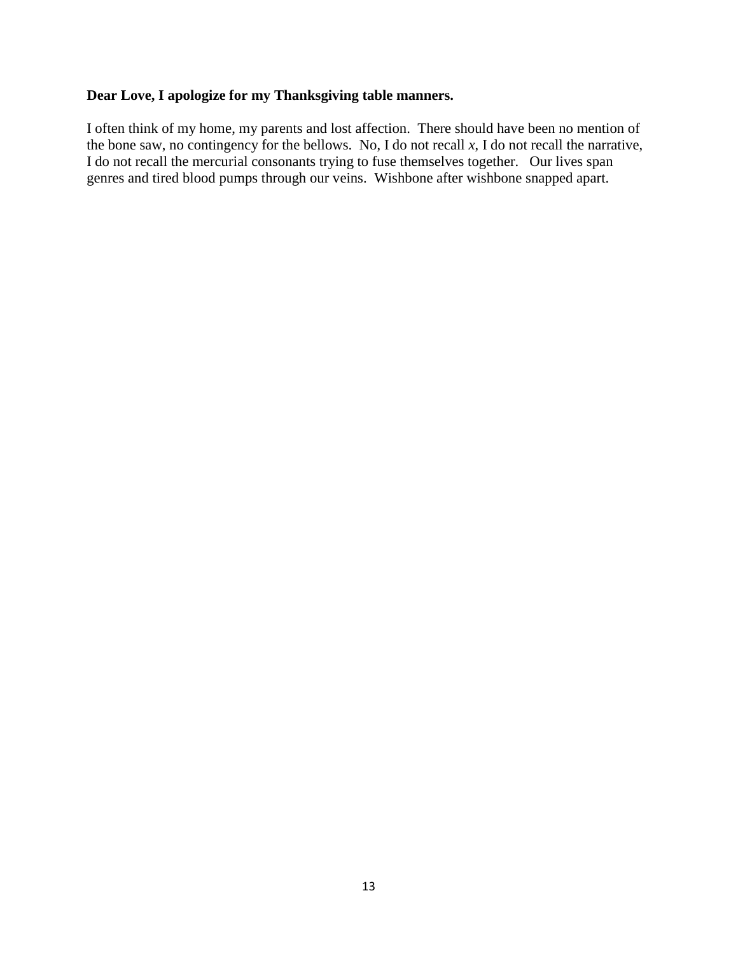## **Dear Love, I apologize for my Thanksgiving table manners.**

I often think of my home, my parents and lost affection. There should have been no mention of the bone saw, no contingency for the bellows. No, I do not recall  $x$ , I do not recall the narrative, I do not recall the mercurial consonants trying to fuse themselves together. Our lives span genres and tired blood pumps through our veins. Wishbone after wishbone snapped apart.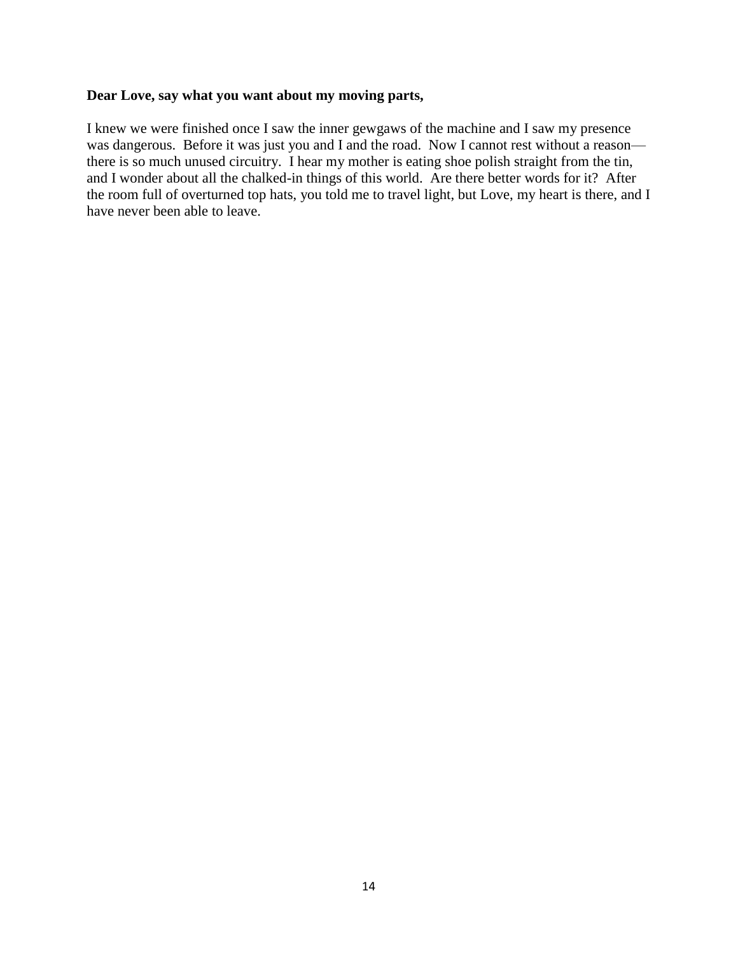## **Dear Love, say what you want about my moving parts,**

I knew we were finished once I saw the inner gewgaws of the machine and I saw my presence was dangerous. Before it was just you and I and the road. Now I cannot rest without a reason there is so much unused circuitry. I hear my mother is eating shoe polish straight from the tin, and I wonder about all the chalked-in things of this world. Are there better words for it? After the room full of overturned top hats, you told me to travel light, but Love, my heart is there, and I have never been able to leave.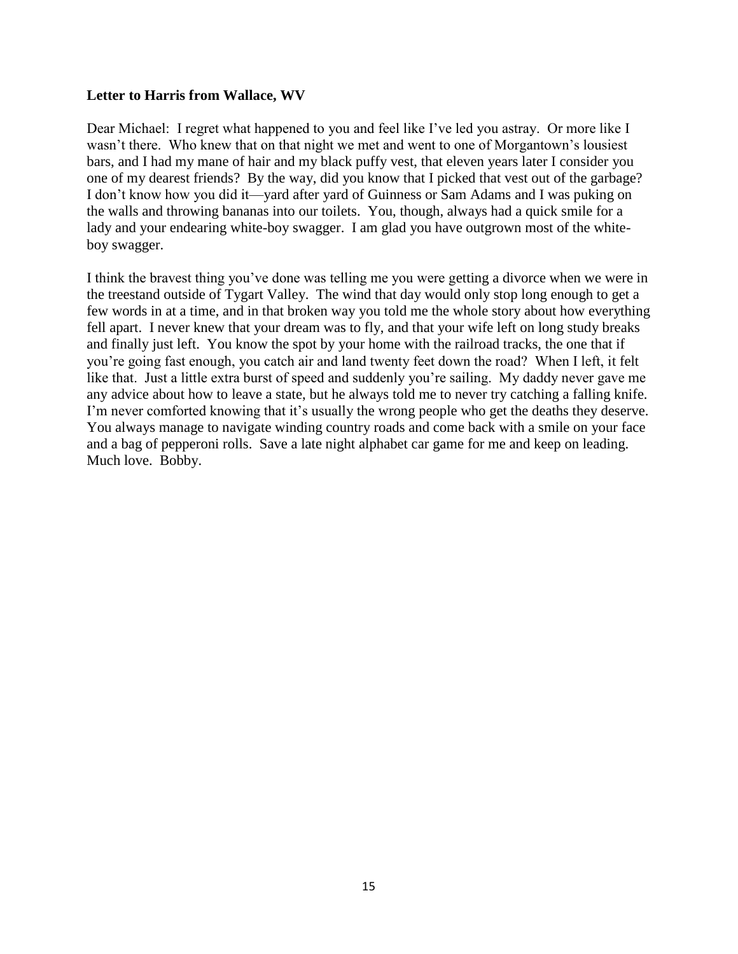#### **Letter to Harris from Wallace, WV**

Dear Michael: I regret what happened to you and feel like I've led you astray. Or more like I wasn't there. Who knew that on that night we met and went to one of Morgantown's lousiest bars, and I had my mane of hair and my black puffy vest, that eleven years later I consider you one of my dearest friends? By the way, did you know that I picked that vest out of the garbage? I don't know how you did it—yard after yard of Guinness or Sam Adams and I was puking on the walls and throwing bananas into our toilets. You, though, always had a quick smile for a lady and your endearing white-boy swagger. I am glad you have outgrown most of the whiteboy swagger.

I think the bravest thing you've done was telling me you were getting a divorce when we were in the treestand outside of Tygart Valley. The wind that day would only stop long enough to get a few words in at a time, and in that broken way you told me the whole story about how everything fell apart. I never knew that your dream was to fly, and that your wife left on long study breaks and finally just left. You know the spot by your home with the railroad tracks, the one that if you're going fast enough, you catch air and land twenty feet down the road? When I left, it felt like that. Just a little extra burst of speed and suddenly you're sailing. My daddy never gave me any advice about how to leave a state, but he always told me to never try catching a falling knife. I'm never comforted knowing that it's usually the wrong people who get the deaths they deserve. You always manage to navigate winding country roads and come back with a smile on your face and a bag of pepperoni rolls. Save a late night alphabet car game for me and keep on leading. Much love. Bobby.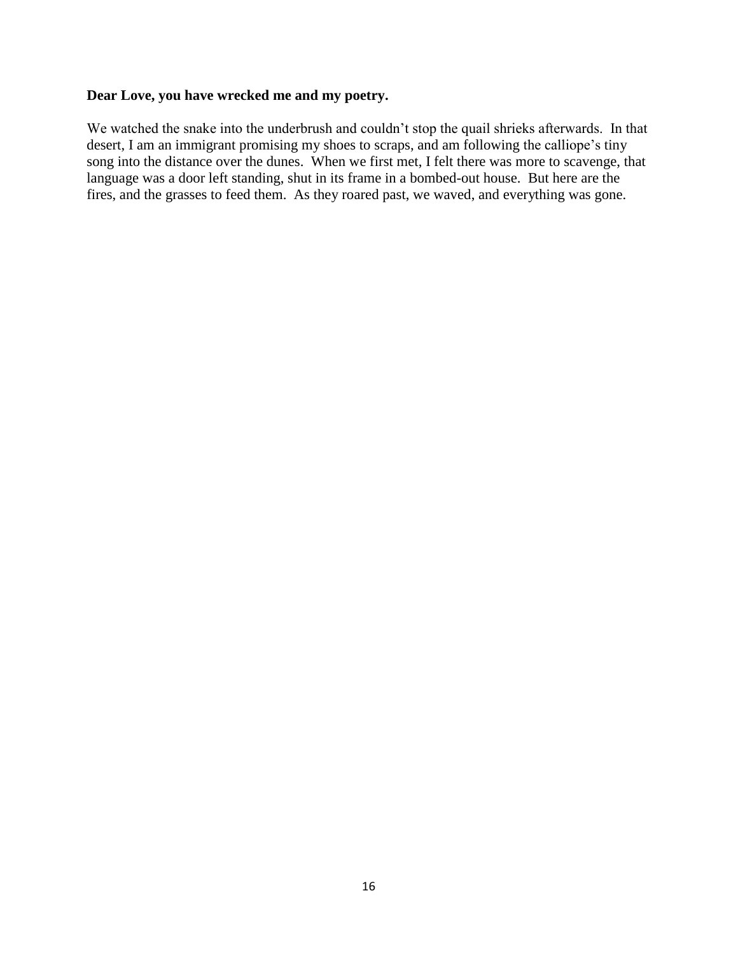## **Dear Love, you have wrecked me and my poetry.**

We watched the snake into the underbrush and couldn't stop the quail shrieks afterwards. In that desert, I am an immigrant promising my shoes to scraps, and am following the calliope's tiny song into the distance over the dunes. When we first met, I felt there was more to scavenge, that language was a door left standing, shut in its frame in a bombed-out house. But here are the fires, and the grasses to feed them. As they roared past, we waved, and everything was gone.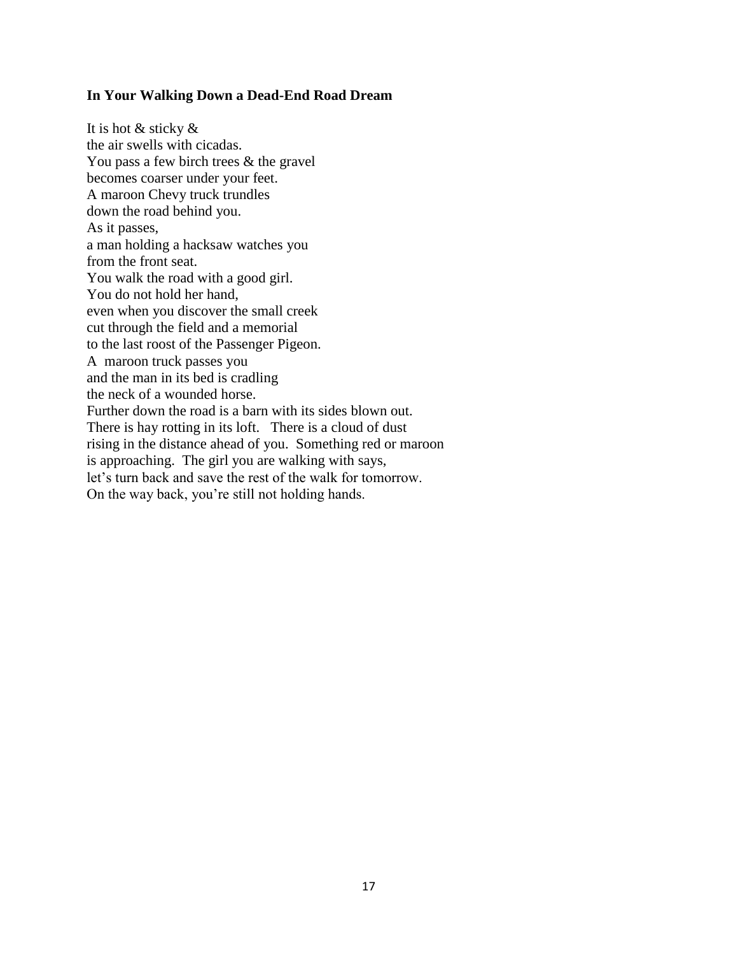#### **In Your Walking Down a Dead-End Road Dream**

It is hot & sticky & the air swells with cicadas. You pass a few birch trees & the gravel becomes coarser under your feet. A maroon Chevy truck trundles down the road behind you. As it passes, a man holding a hacksaw watches you from the front seat. You walk the road with a good girl. You do not hold her hand, even when you discover the small creek cut through the field and a memorial to the last roost of the Passenger Pigeon. A maroon truck passes you and the man in its bed is cradling the neck of a wounded horse. Further down the road is a barn with its sides blown out. There is hay rotting in its loft. There is a cloud of dust rising in the distance ahead of you. Something red or maroon is approaching. The girl you are walking with says, let's turn back and save the rest of the walk for tomorrow. On the way back, you're still not holding hands.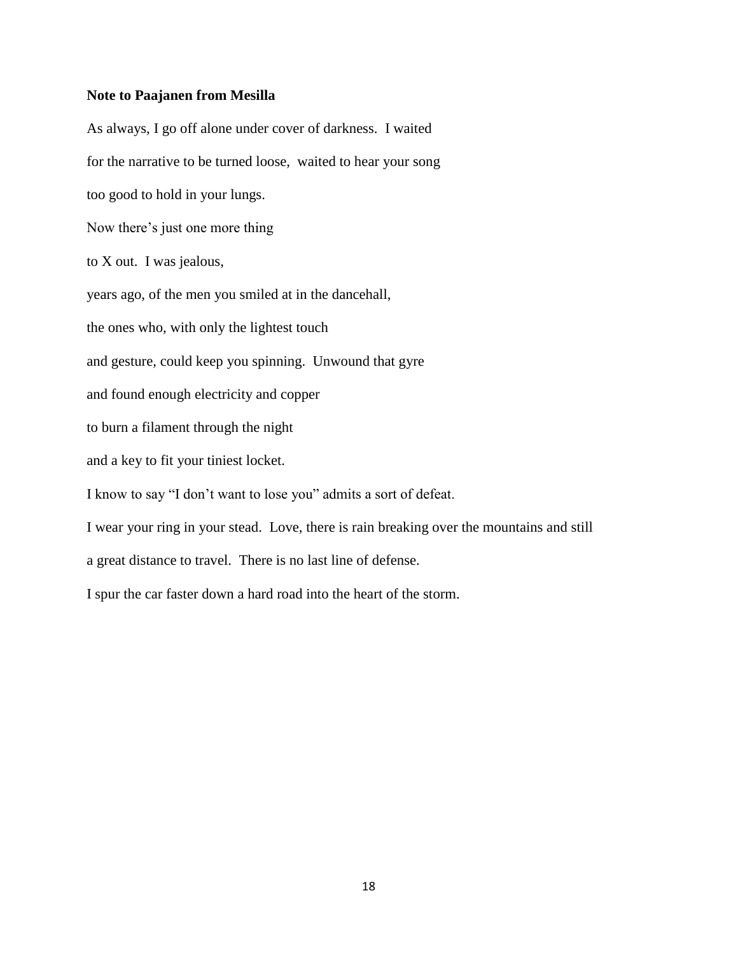#### **Note to Paajanen from Mesilla**

As always, I go off alone under cover of darkness. I waited for the narrative to be turned loose, waited to hear your song too good to hold in your lungs. Now there's just one more thing to X out. I was jealous, years ago, of the men you smiled at in the dancehall, the ones who, with only the lightest touch and gesture, could keep you spinning. Unwound that gyre and found enough electricity and copper to burn a filament through the night and a key to fit your tiniest locket. I know to say "I don't want to lose you" admits a sort of defeat. I wear your ring in your stead. Love, there is rain breaking over the mountains and still a great distance to travel. There is no last line of defense. I spur the car faster down a hard road into the heart of the storm.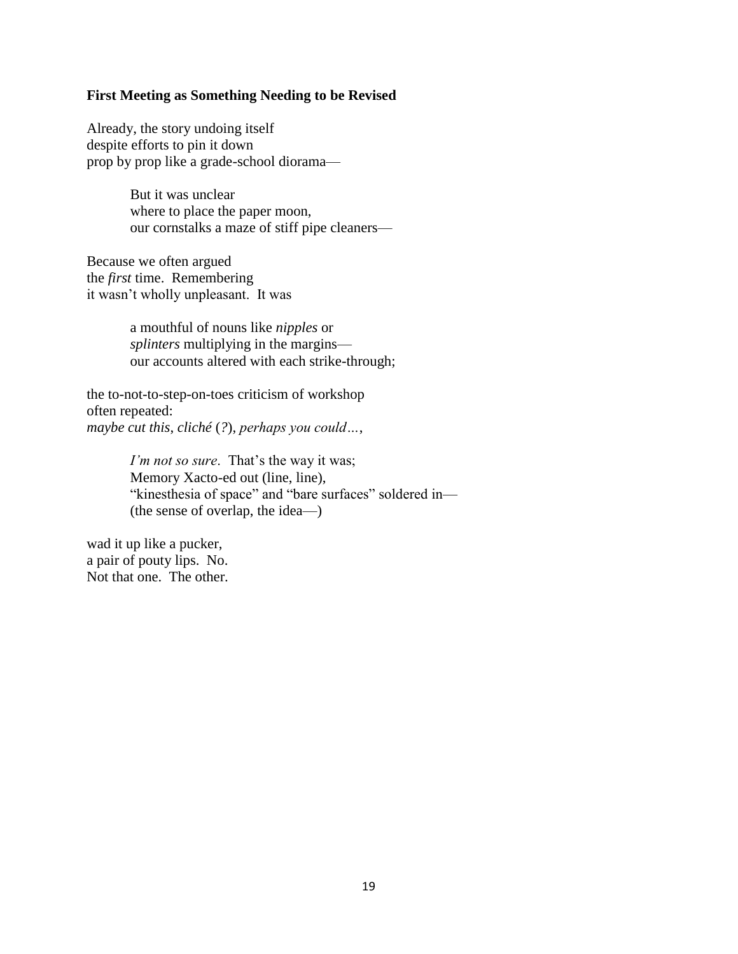#### **First Meeting as Something Needing to be Revised**

Already, the story undoing itself despite efforts to pin it down prop by prop like a grade-school diorama—

> But it was unclear where to place the paper moon, our cornstalks a maze of stiff pipe cleaners—

Because we often argued the *first* time. Remembering it wasn't wholly unpleasant. It was

> a mouthful of nouns like *nipples* or *splinters* multiplying in the margins our accounts altered with each strike-through;

the to-not-to-step-on-toes criticism of workshop often repeated: *maybe cut this*, *cliché* (*?*), *perhaps you could…*,

> *I'm not so sure.* That's the way it was; Memory Xacto-ed out (line, line), "kinesthesia of space" and "bare surfaces" soldered in— (the sense of overlap, the idea—)

wad it up like a pucker, a pair of pouty lips. No. Not that one. The other.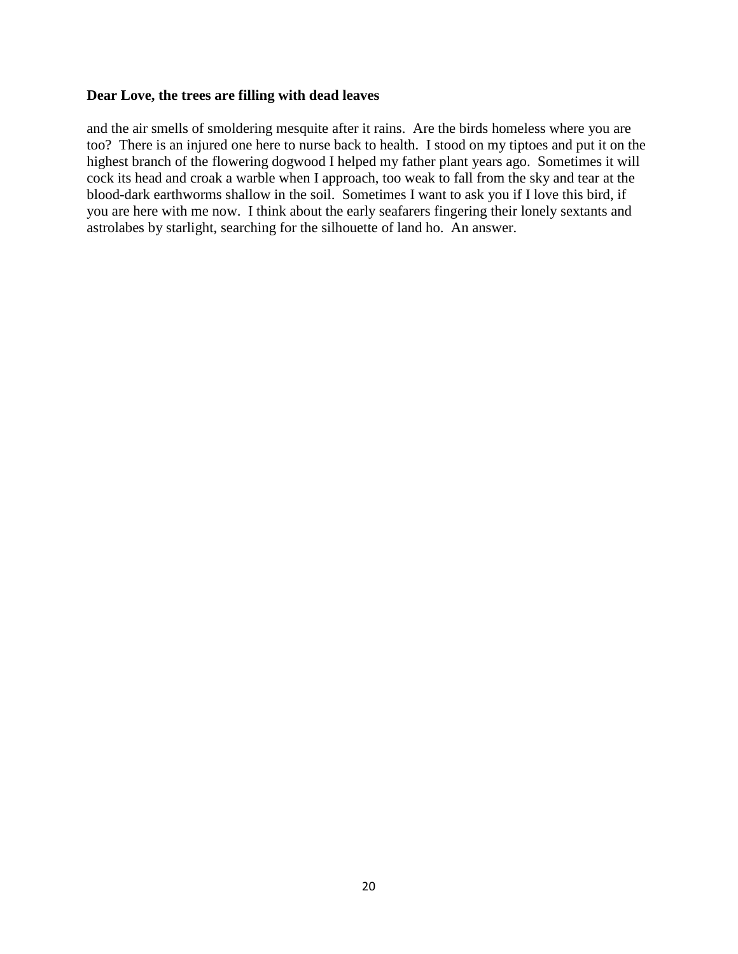#### **Dear Love, the trees are filling with dead leaves**

and the air smells of smoldering mesquite after it rains. Are the birds homeless where you are too? There is an injured one here to nurse back to health. I stood on my tiptoes and put it on the highest branch of the flowering dogwood I helped my father plant years ago. Sometimes it will cock its head and croak a warble when I approach, too weak to fall from the sky and tear at the blood-dark earthworms shallow in the soil. Sometimes I want to ask you if I love this bird, if you are here with me now. I think about the early seafarers fingering their lonely sextants and astrolabes by starlight, searching for the silhouette of land ho. An answer.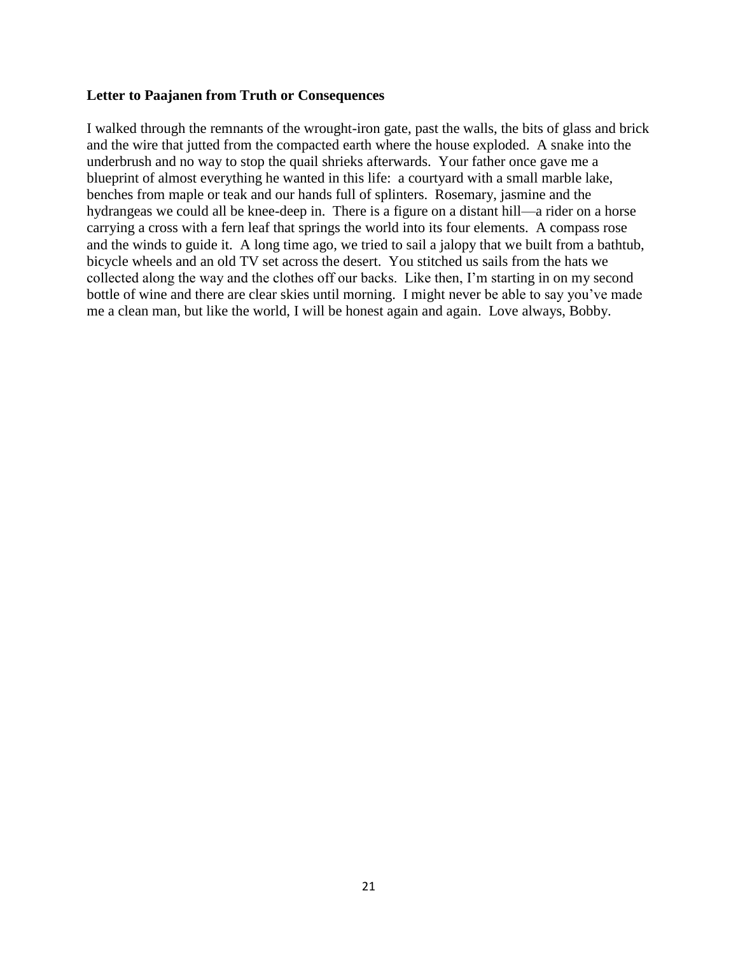#### **Letter to Paajanen from Truth or Consequences**

I walked through the remnants of the wrought-iron gate, past the walls, the bits of glass and brick and the wire that jutted from the compacted earth where the house exploded. A snake into the underbrush and no way to stop the quail shrieks afterwards. Your father once gave me a blueprint of almost everything he wanted in this life: a courtyard with a small marble lake, benches from maple or teak and our hands full of splinters. Rosemary, jasmine and the hydrangeas we could all be knee-deep in. There is a figure on a distant hill—a rider on a horse carrying a cross with a fern leaf that springs the world into its four elements. A compass rose and the winds to guide it. A long time ago, we tried to sail a jalopy that we built from a bathtub, bicycle wheels and an old TV set across the desert. You stitched us sails from the hats we collected along the way and the clothes off our backs. Like then, I'm starting in on my second bottle of wine and there are clear skies until morning. I might never be able to say you've made me a clean man, but like the world, I will be honest again and again. Love always, Bobby.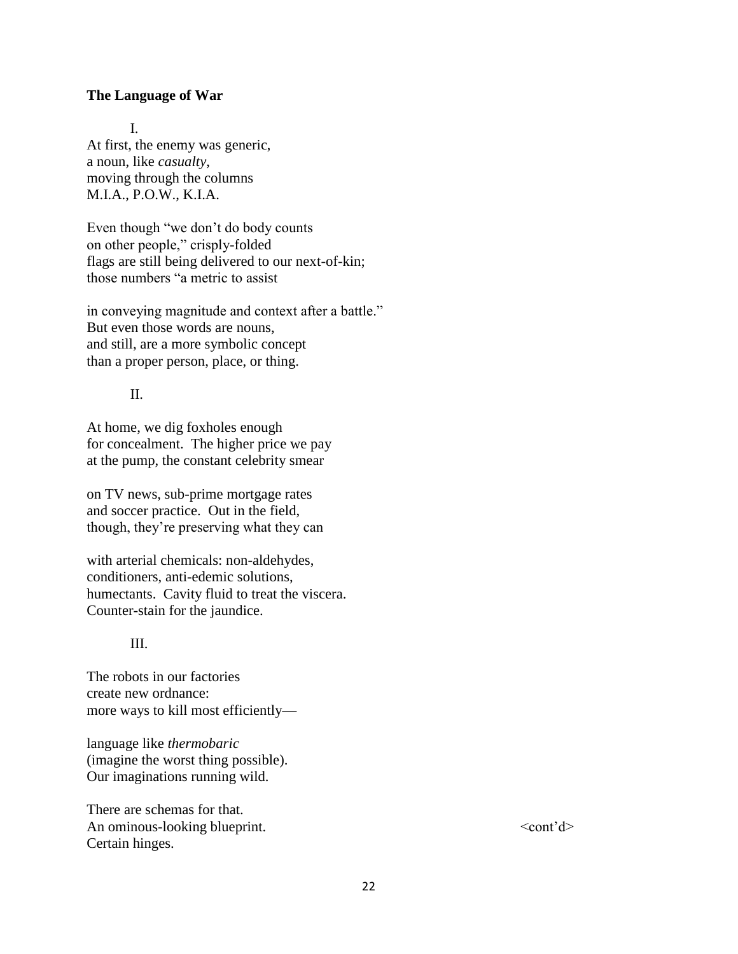#### **The Language of War**

#### I.

At first, the enemy was generic, a noun, like *casualty*, moving through the columns M.I.A., P.O.W., K.I.A.

Even though "we don't do body counts on other people," crisply-folded flags are still being delivered to our next-of-kin; those numbers "a metric to assist

in conveying magnitude and context after a battle." But even those words are nouns, and still, are a more symbolic concept than a proper person, place, or thing.

#### II.

At home, we dig foxholes enough for concealment. The higher price we pay at the pump, the constant celebrity smear

on TV news, sub-prime mortgage rates and soccer practice. Out in the field, though, they're preserving what they can

with arterial chemicals: non-aldehydes, conditioners, anti-edemic solutions, humectants. Cavity fluid to treat the viscera. Counter-stain for the jaundice.

### III.

The robots in our factories create new ordnance: more ways to kill most efficiently—

language like *thermobaric* (imagine the worst thing possible). Our imaginations running wild.

There are schemas for that. An ominous-looking blueprint.  $\langle\text{cont'}d\rangle$ Certain hinges.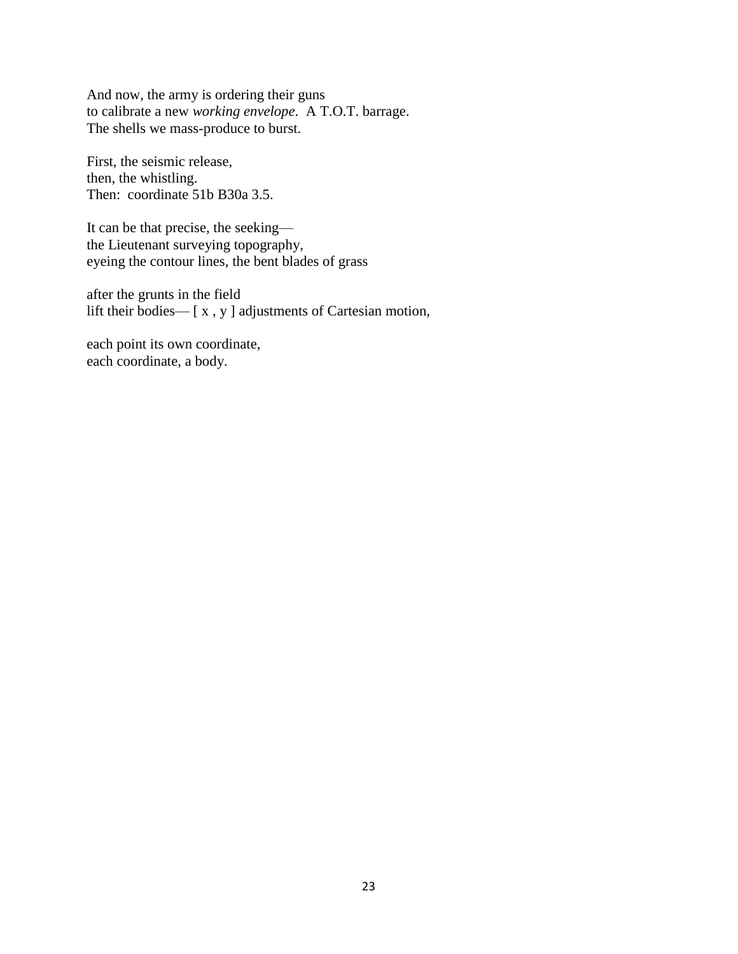And now, the army is ordering their guns to calibrate a new *working envelope*. A T.O.T. barrage. The shells we mass-produce to burst.

First, the seismic release, then, the whistling. Then: coordinate 51b B30a 3.5.

It can be that precise, the seeking the Lieutenant surveying topography, eyeing the contour lines, the bent blades of grass

after the grunts in the field lift their bodies— [ x , y ] adjustments of Cartesian motion,

each point its own coordinate, each coordinate, a body.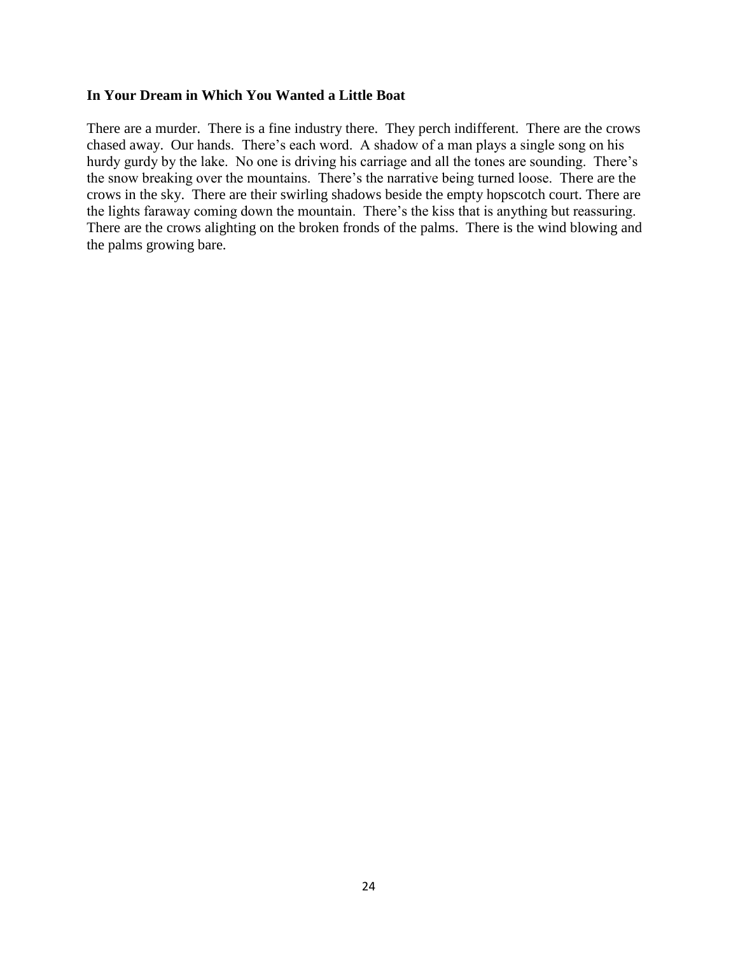#### **In Your Dream in Which You Wanted a Little Boat**

There are a murder. There is a fine industry there. They perch indifferent. There are the crows chased away. Our hands. There's each word. A shadow of a man plays a single song on his hurdy gurdy by the lake. No one is driving his carriage and all the tones are sounding. There's the snow breaking over the mountains. There's the narrative being turned loose. There are the crows in the sky. There are their swirling shadows beside the empty hopscotch court. There are the lights faraway coming down the mountain. There's the kiss that is anything but reassuring. There are the crows alighting on the broken fronds of the palms. There is the wind blowing and the palms growing bare.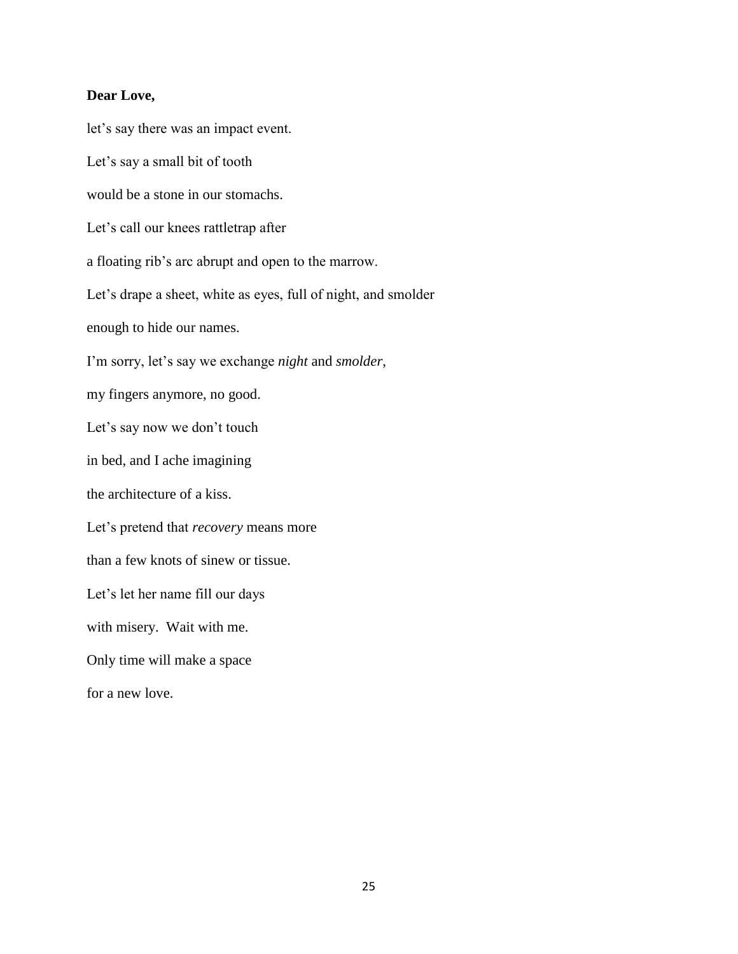#### **Dear Love,**

let's say there was an impact event. Let's say a small bit of tooth would be a stone in our stomachs. Let's call our knees rattletrap after a floating rib's arc abrupt and open to the marrow. Let's drape a sheet, white as eyes, full of night, and smolder enough to hide our names. I'm sorry, let's say we exchange *night* and *smolder*, my fingers anymore, no good. Let's say now we don't touch in bed, and I ache imagining the architecture of a kiss. Let's pretend that *recovery* means more than a few knots of sinew or tissue. Let's let her name fill our days with misery. Wait with me. Only time will make a space for a new love.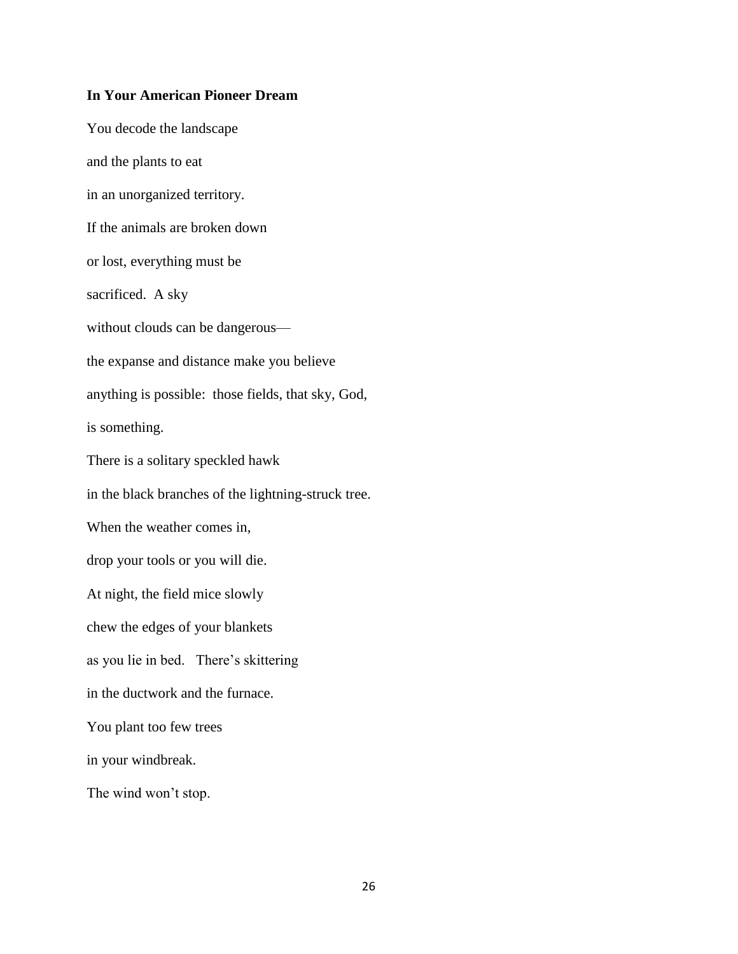#### **In Your American Pioneer Dream**

You decode the landscape and the plants to eat in an unorganized territory. If the animals are broken down or lost, everything must be sacrificed. A sky without clouds can be dangerous the expanse and distance make you believe anything is possible: those fields, that sky, God, is something. There is a solitary speckled hawk in the black branches of the lightning-struck tree. When the weather comes in, drop your tools or you will die. At night, the field mice slowly chew the edges of your blankets as you lie in bed. There's skittering in the ductwork and the furnace. You plant too few trees in your windbreak. The wind won't stop.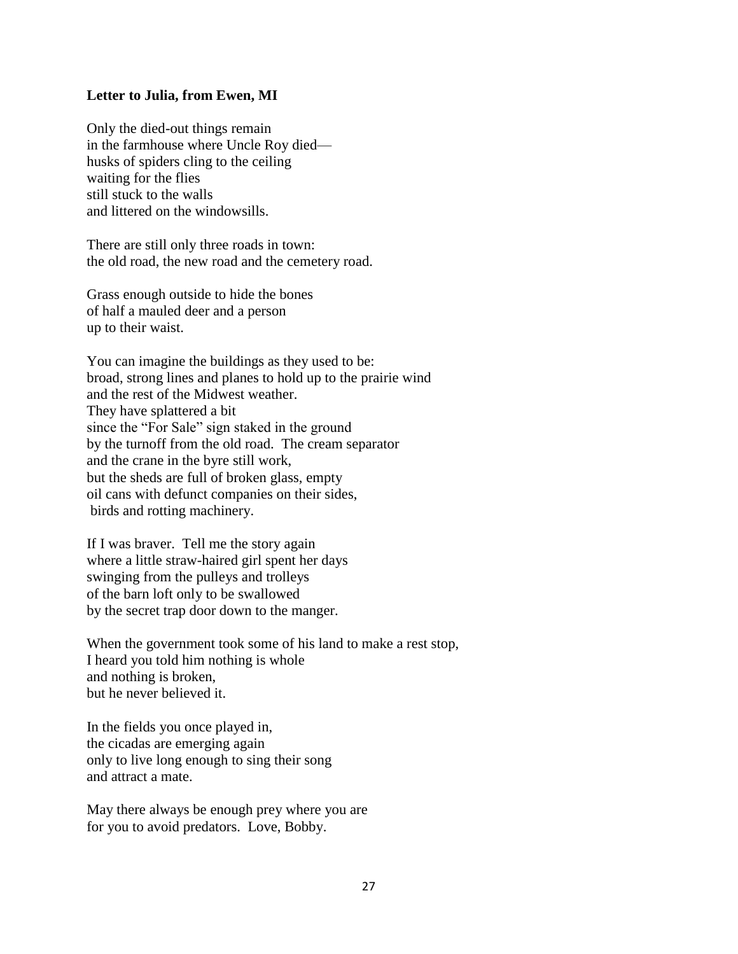#### **Letter to Julia, from Ewen, MI**

Only the died-out things remain in the farmhouse where Uncle Roy died husks of spiders cling to the ceiling waiting for the flies still stuck to the walls and littered on the windowsills.

There are still only three roads in town: the old road, the new road and the cemetery road.

Grass enough outside to hide the bones of half a mauled deer and a person up to their waist.

You can imagine the buildings as they used to be: broad, strong lines and planes to hold up to the prairie wind and the rest of the Midwest weather. They have splattered a bit since the "For Sale" sign staked in the ground by the turnoff from the old road. The cream separator and the crane in the byre still work, but the sheds are full of broken glass, empty oil cans with defunct companies on their sides, birds and rotting machinery.

If I was braver. Tell me the story again where a little straw-haired girl spent her days swinging from the pulleys and trolleys of the barn loft only to be swallowed by the secret trap door down to the manger.

When the government took some of his land to make a rest stop, I heard you told him nothing is whole and nothing is broken, but he never believed it.

In the fields you once played in, the cicadas are emerging again only to live long enough to sing their song and attract a mate.

May there always be enough prey where you are for you to avoid predators. Love, Bobby.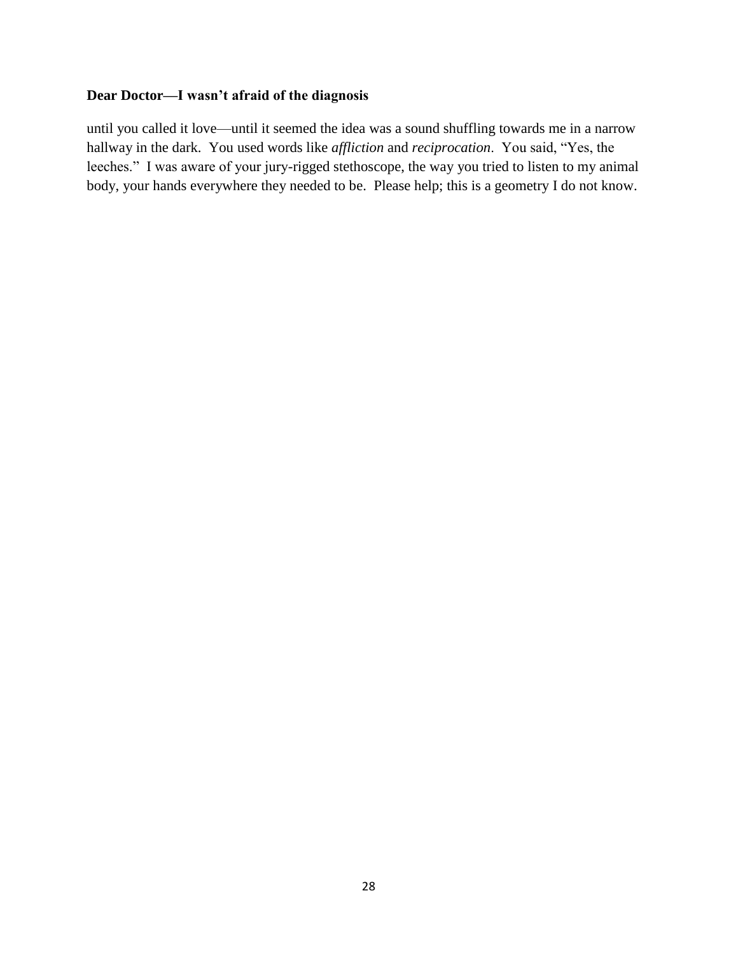## **Dear Doctor—I wasn't afraid of the diagnosis**

until you called it love—until it seemed the idea was a sound shuffling towards me in a narrow hallway in the dark. You used words like *affliction* and *reciprocation*. You said, "Yes, the leeches." I was aware of your jury-rigged stethoscope, the way you tried to listen to my animal body, your hands everywhere they needed to be. Please help; this is a geometry I do not know.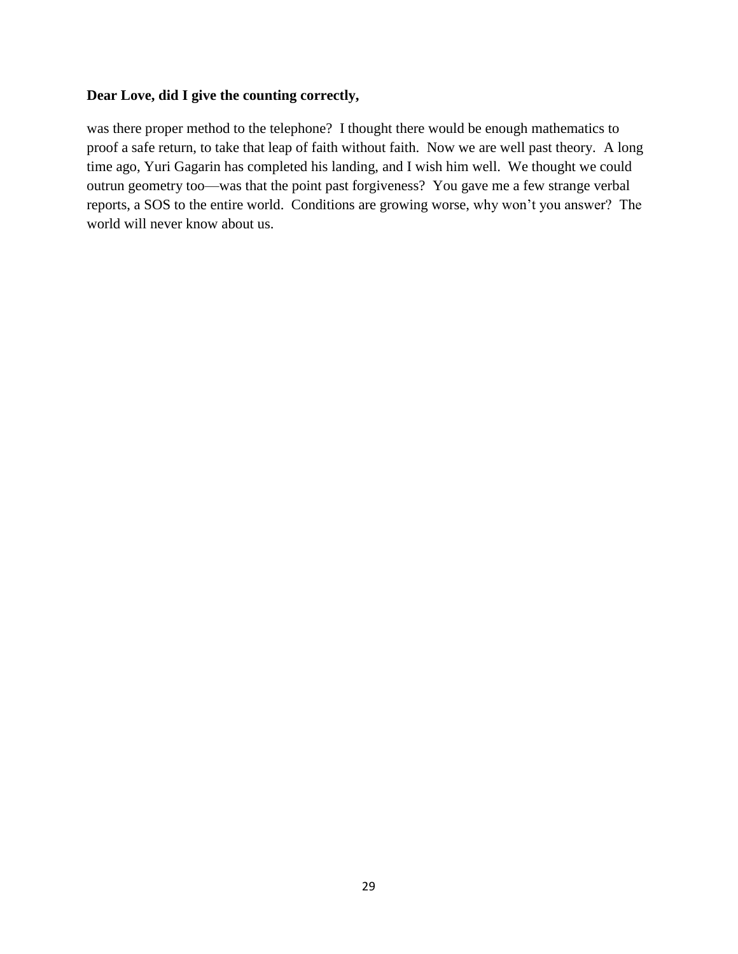## **Dear Love, did I give the counting correctly,**

was there proper method to the telephone? I thought there would be enough mathematics to proof a safe return, to take that leap of faith without faith. Now we are well past theory. A long time ago, Yuri Gagarin has completed his landing, and I wish him well. We thought we could outrun geometry too—was that the point past forgiveness? You gave me a few strange verbal reports, a SOS to the entire world. Conditions are growing worse, why won't you answer? The world will never know about us.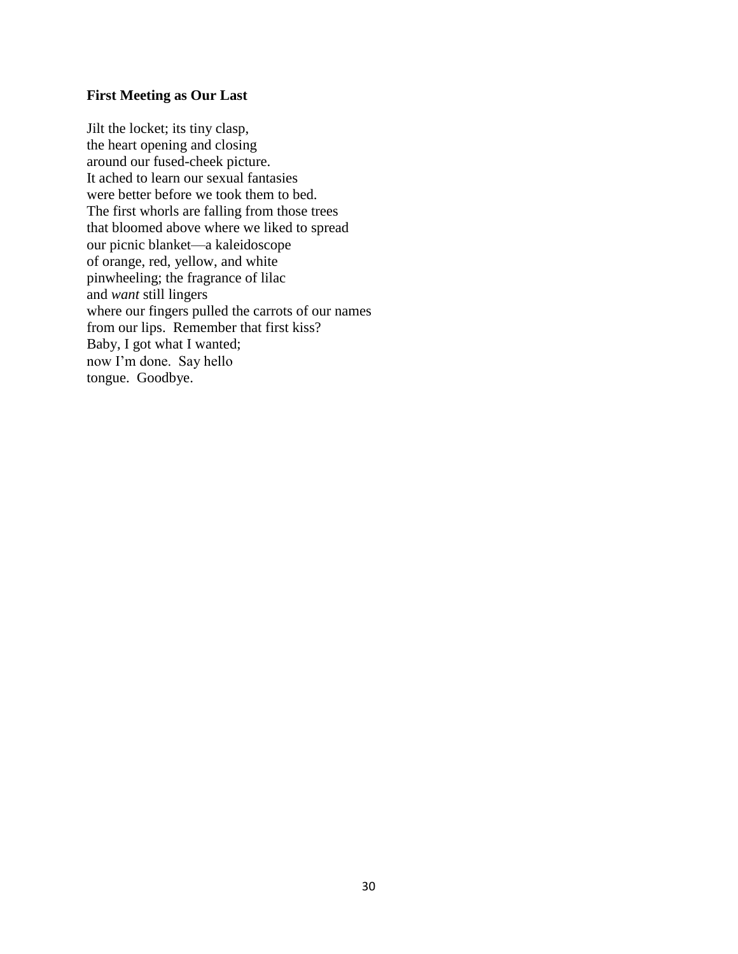## **First Meeting as Our Last**

Jilt the locket; its tiny clasp, the heart opening and closing around our fused-cheek picture. It ached to learn our sexual fantasies were better before we took them to bed. The first whorls are falling from those trees that bloomed above where we liked to spread our picnic blanket—a kaleidoscope of orange, red, yellow, and white pinwheeling; the fragrance of lilac and *want* still lingers where our fingers pulled the carrots of our names from our lips. Remember that first kiss? Baby, I got what I wanted; now I'm done. Say hello tongue. Goodbye.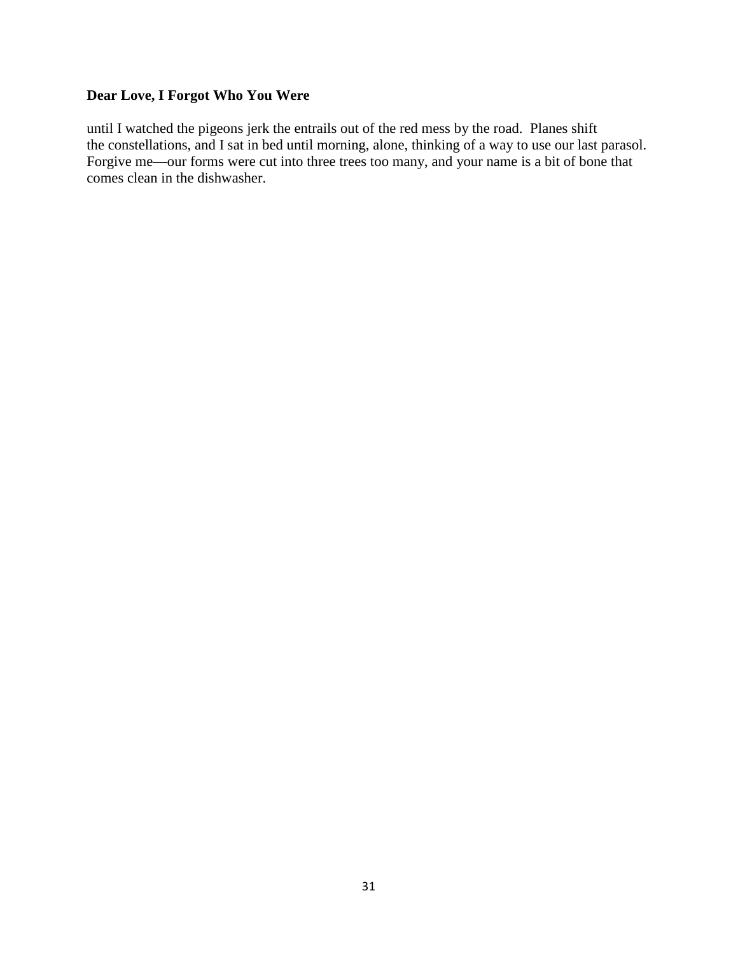## **Dear Love, I Forgot Who You Were**

until I watched the pigeons jerk the entrails out of the red mess by the road. Planes shift the constellations, and I sat in bed until morning, alone, thinking of a way to use our last parasol. Forgive me—our forms were cut into three trees too many, and your name is a bit of bone that comes clean in the dishwasher.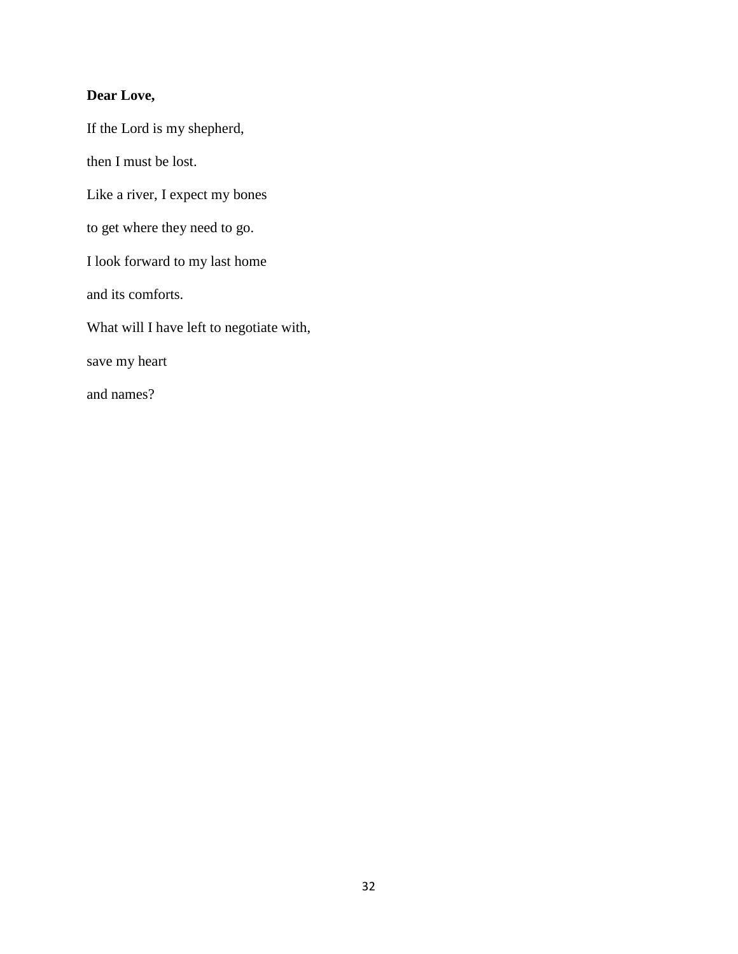## **Dear Love,**

If the Lord is my shepherd, then I must be lost. Like a river, I expect my bones to get where they need to go. I look forward to my last home and its comforts. What will I have left to negotiate with, save my heart and names?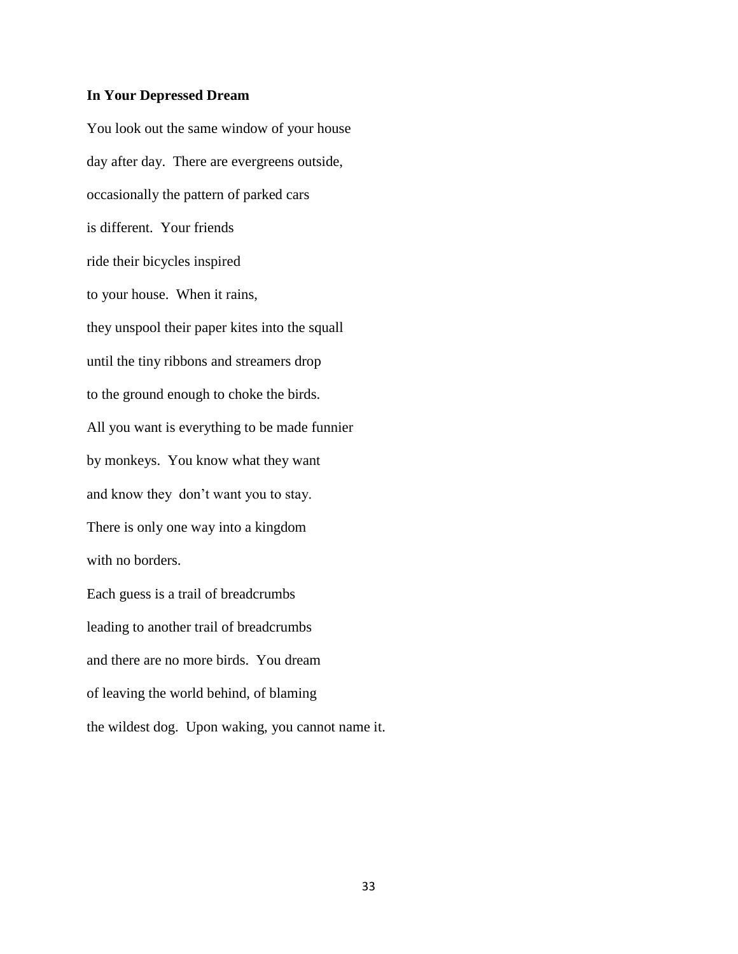#### **In Your Depressed Dream**

You look out the same window of your house day after day. There are evergreens outside, occasionally the pattern of parked cars is different. Your friends ride their bicycles inspired to your house. When it rains, they unspool their paper kites into the squall until the tiny ribbons and streamers drop to the ground enough to choke the birds. All you want is everything to be made funnier by monkeys. You know what they want and know they don't want you to stay. There is only one way into a kingdom with no borders. Each guess is a trail of breadcrumbs leading to another trail of breadcrumbs and there are no more birds. You dream of leaving the world behind, of blaming the wildest dog. Upon waking, you cannot name it.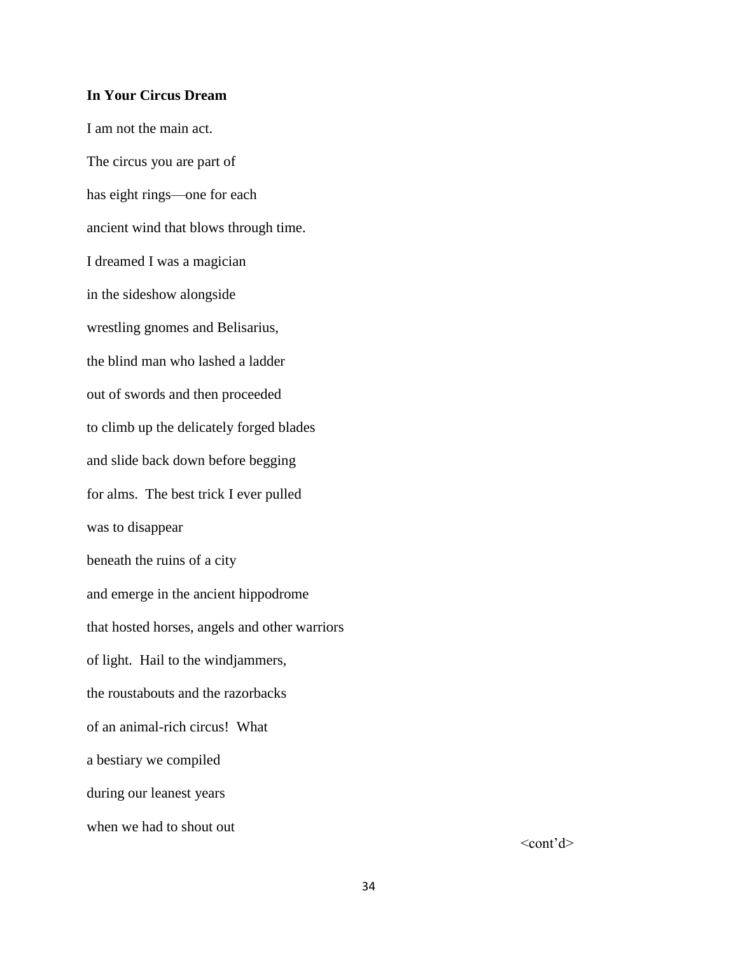#### **In Your Circus Dream**

I am not the main act. The circus you are part of has eight rings—one for each ancient wind that blows through time. I dreamed I was a magician in the sideshow alongside wrestling gnomes and Belisarius, the blind man who lashed a ladder out of swords and then proceeded to climb up the delicately forged blades and slide back down before begging for alms. The best trick I ever pulled was to disappear beneath the ruins of a city and emerge in the ancient hippodrome that hosted horses, angels and other warriors of light. Hail to the windjammers, the roustabouts and the razorbacks of an animal-rich circus! What a bestiary we compiled during our leanest years when we had to shout out

 $<$ cont'd $>$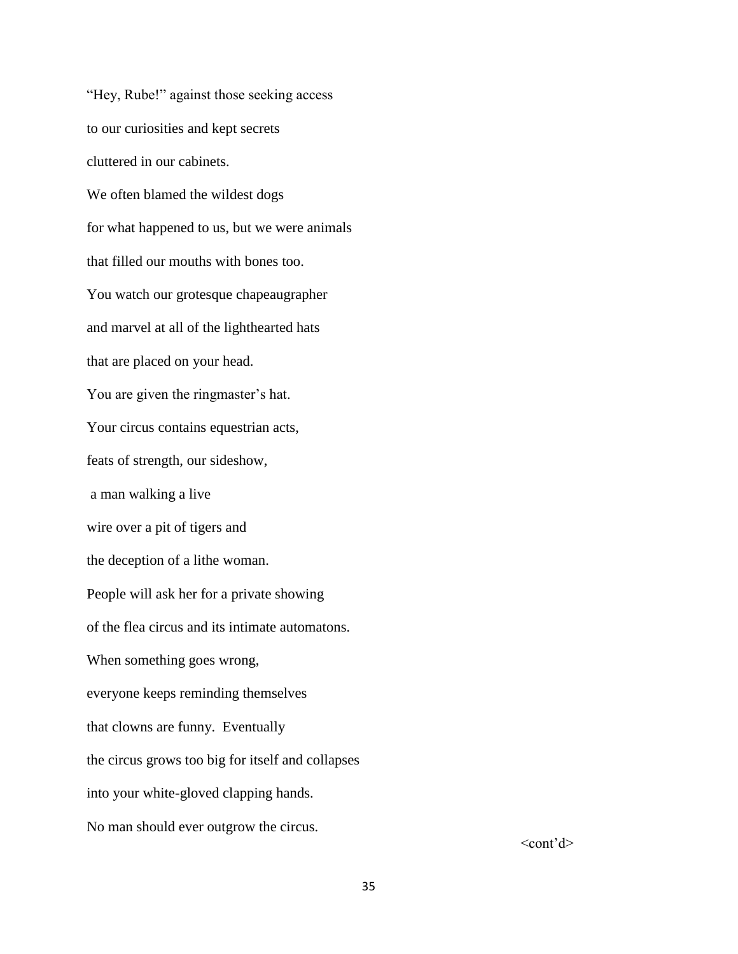"Hey, Rube!" against those seeking access to our curiosities and kept secrets cluttered in our cabinets. We often blamed the wildest dogs for what happened to us, but we were animals that filled our mouths with bones too. You watch our grotesque chapeaugrapher and marvel at all of the lighthearted hats that are placed on your head. You are given the ringmaster's hat. Your circus contains equestrian acts, feats of strength, our sideshow, a man walking a live wire over a pit of tigers and the deception of a lithe woman. People will ask her for a private showing of the flea circus and its intimate automatons. When something goes wrong, everyone keeps reminding themselves that clowns are funny. Eventually the circus grows too big for itself and collapses into your white-gloved clapping hands. No man should ever outgrow the circus.

 $<$ cont'd $>$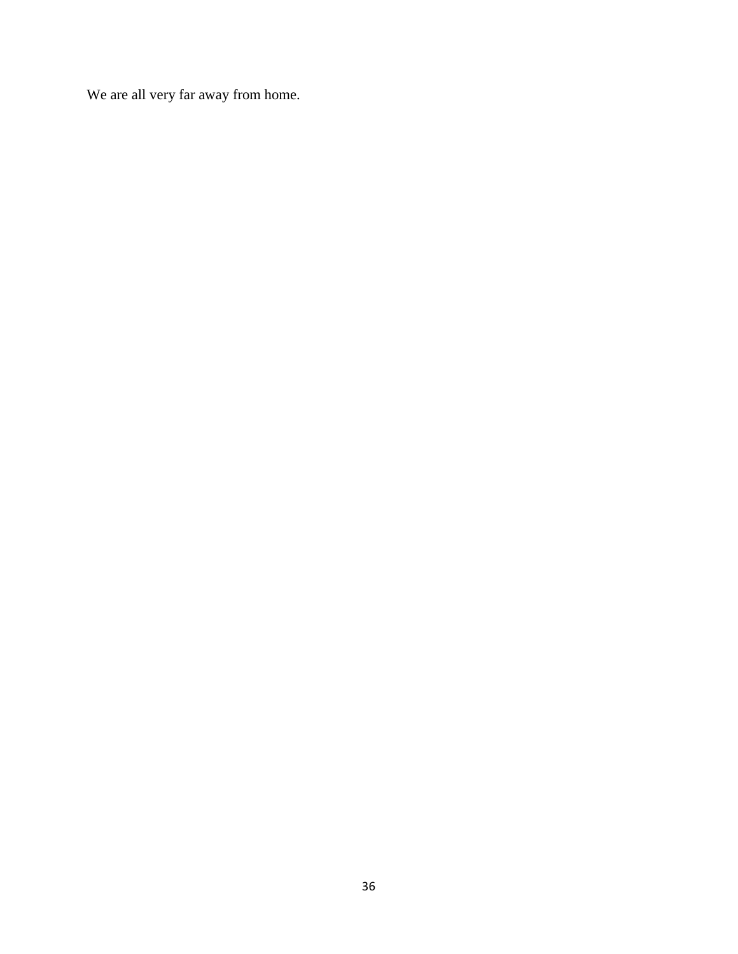We are all very far away from home.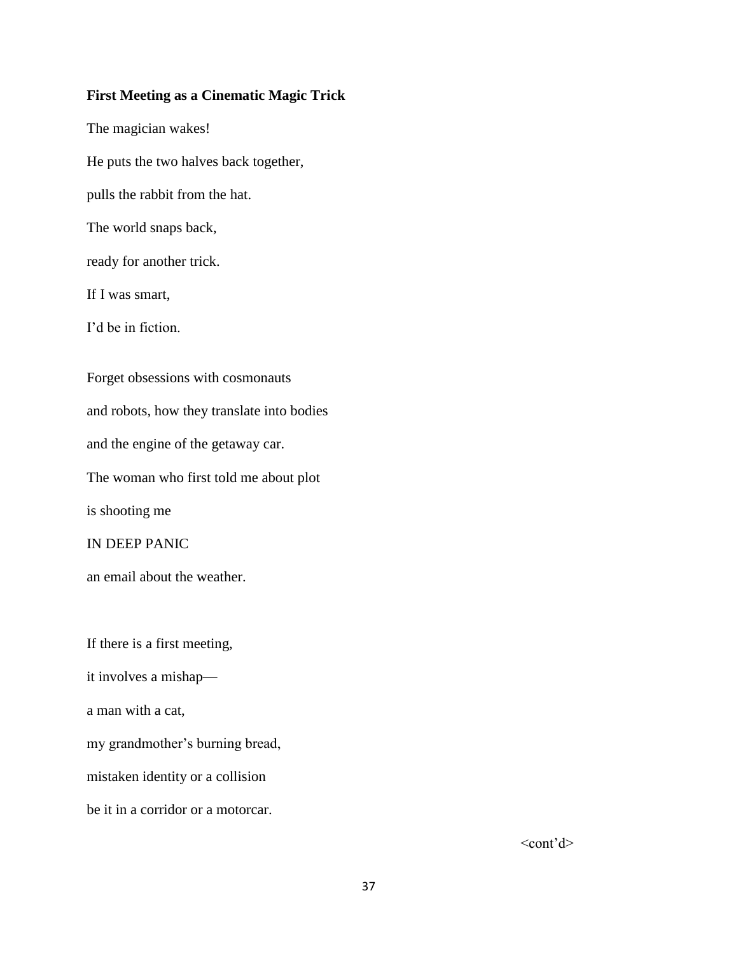#### **First Meeting as a Cinematic Magic Trick**

The magician wakes! He puts the two halves back together, pulls the rabbit from the hat. The world snaps back, ready for another trick. If I was smart, I'd be in fiction Forget obsessions with cosmonauts and robots, how they translate into bodies and the engine of the getaway car. The woman who first told me about plot is shooting me IN DEEP PANIC an email about the weather.

If there is a first meeting,

it involves a mishap—

a man with a cat,

my grandmother's burning bread,

mistaken identity or a collision

be it in a corridor or a motorcar.

 $<$ cont'd $>$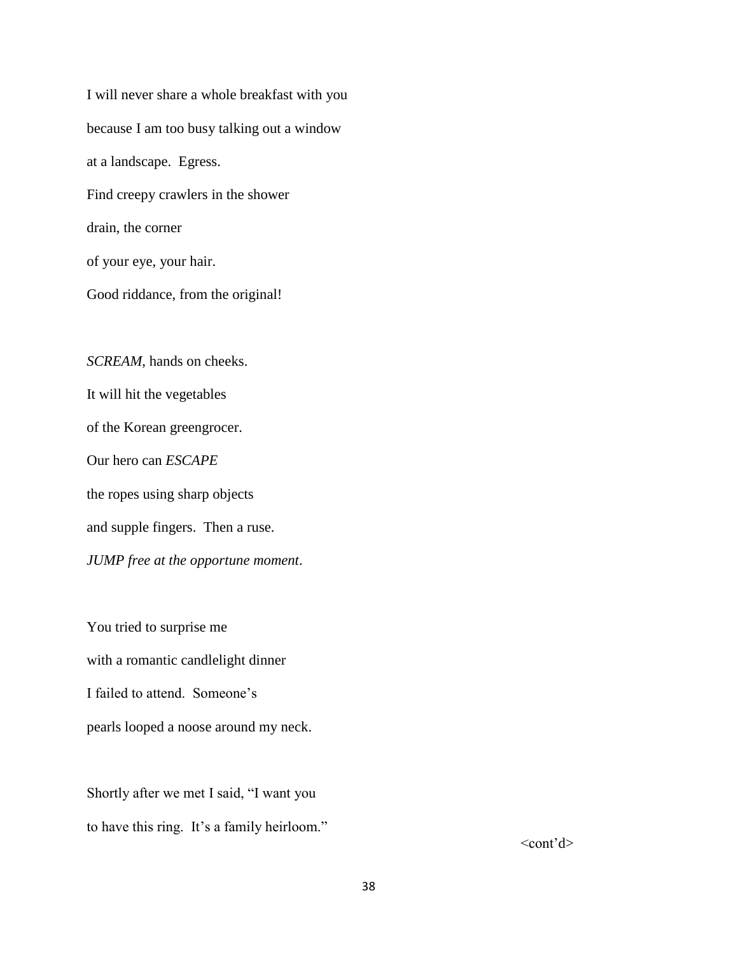I will never share a whole breakfast with you because I am too busy talking out a window at a landscape. Egress. Find creepy crawlers in the shower drain, the corner of your eye, your hair. Good riddance, from the original!

*SCREAM*, hands on cheeks. It will hit the vegetables of the Korean greengrocer. Our hero can *ESCAPE* the ropes using sharp objects and supple fingers. Then a ruse. *JUMP free at the opportune moment*.

You tried to surprise me with a romantic candlelight dinner I failed to attend. Someone's pearls looped a noose around my neck.

Shortly after we met I said, "I want you to have this ring. It's a family heirloom."

 $<$ cont'd $>$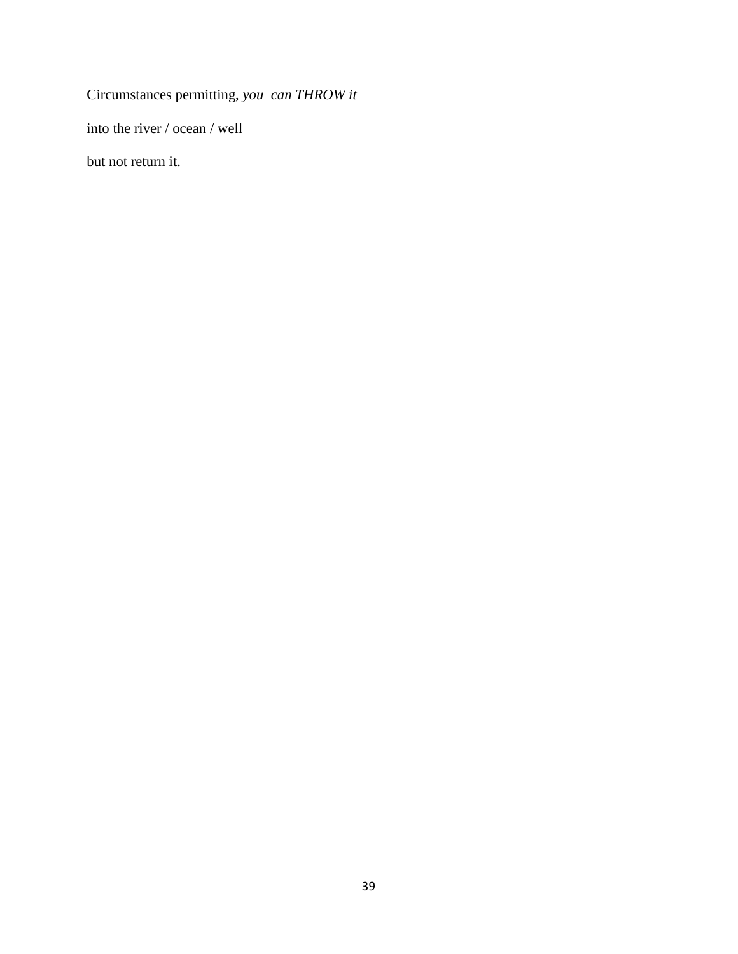Circumstances permitting, *you can THROW it*

into the river / ocean / well

but not return it.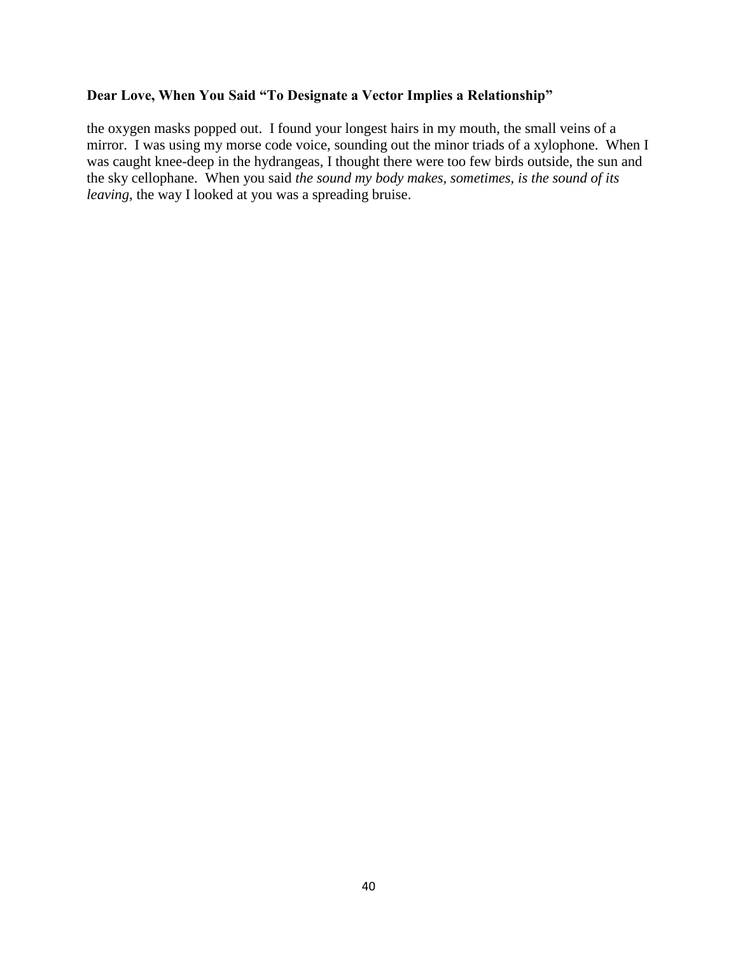## **Dear Love, When You Said "To Designate a Vector Implies a Relationship"**

the oxygen masks popped out. I found your longest hairs in my mouth, the small veins of a mirror. I was using my morse code voice, sounding out the minor triads of a xylophone. When I was caught knee-deep in the hydrangeas, I thought there were too few birds outside, the sun and the sky cellophane. When you said *the sound my body makes, sometimes, is the sound of its leaving*, the way I looked at you was a spreading bruise.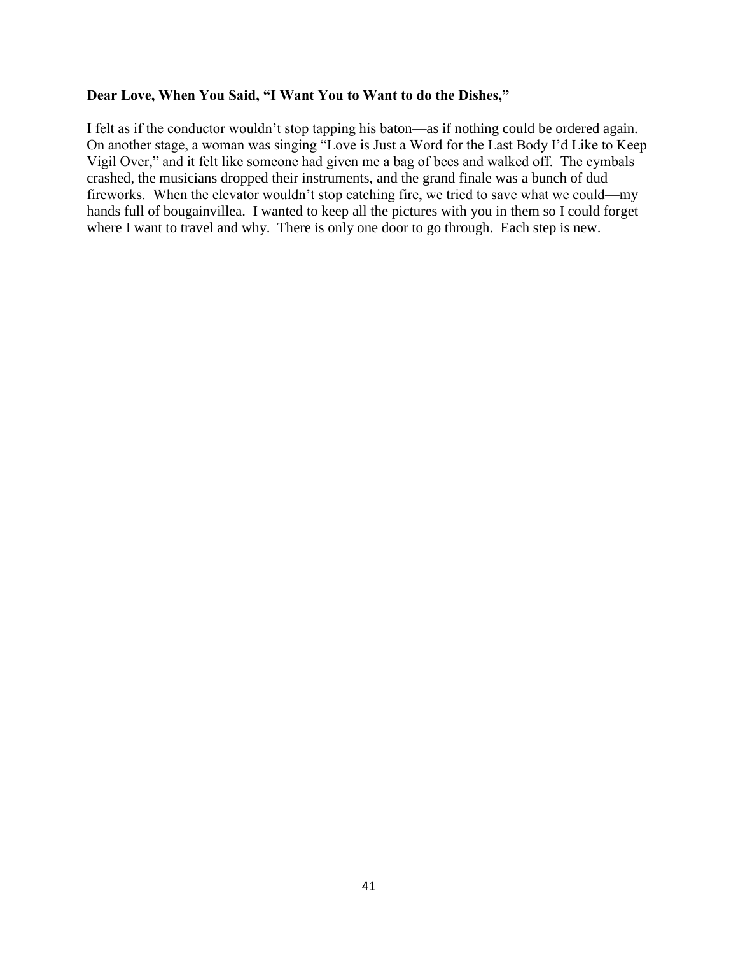#### **Dear Love, When You Said, "I Want You to Want to do the Dishes,"**

I felt as if the conductor wouldn't stop tapping his baton—as if nothing could be ordered again. On another stage, a woman was singing "Love is Just a Word for the Last Body I'd Like to Keep Vigil Over," and it felt like someone had given me a bag of bees and walked off. The cymbals crashed, the musicians dropped their instruments, and the grand finale was a bunch of dud fireworks. When the elevator wouldn't stop catching fire, we tried to save what we could—my hands full of bougainvillea. I wanted to keep all the pictures with you in them so I could forget where I want to travel and why. There is only one door to go through. Each step is new.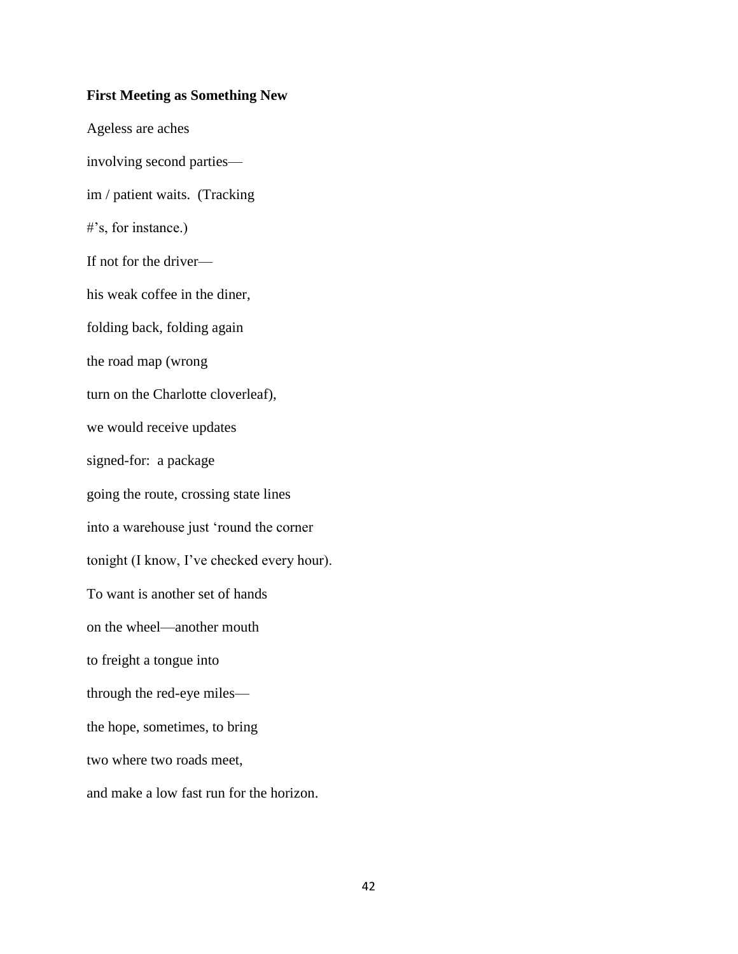#### **First Meeting as Something New**

Ageless are aches involving second parties im / patient waits. (Tracking #'s, for instance.) If not for the driver his weak coffee in the diner, folding back, folding again the road map (wrong turn on the Charlotte cloverleaf), we would receive updates signed-for: a package going the route, crossing state lines into a warehouse just 'round the corner tonight (I know, I've checked every hour). To want is another set of hands on the wheel—another mouth to freight a tongue into through the red-eye miles the hope, sometimes, to bring two where two roads meet, and make a low fast run for the horizon.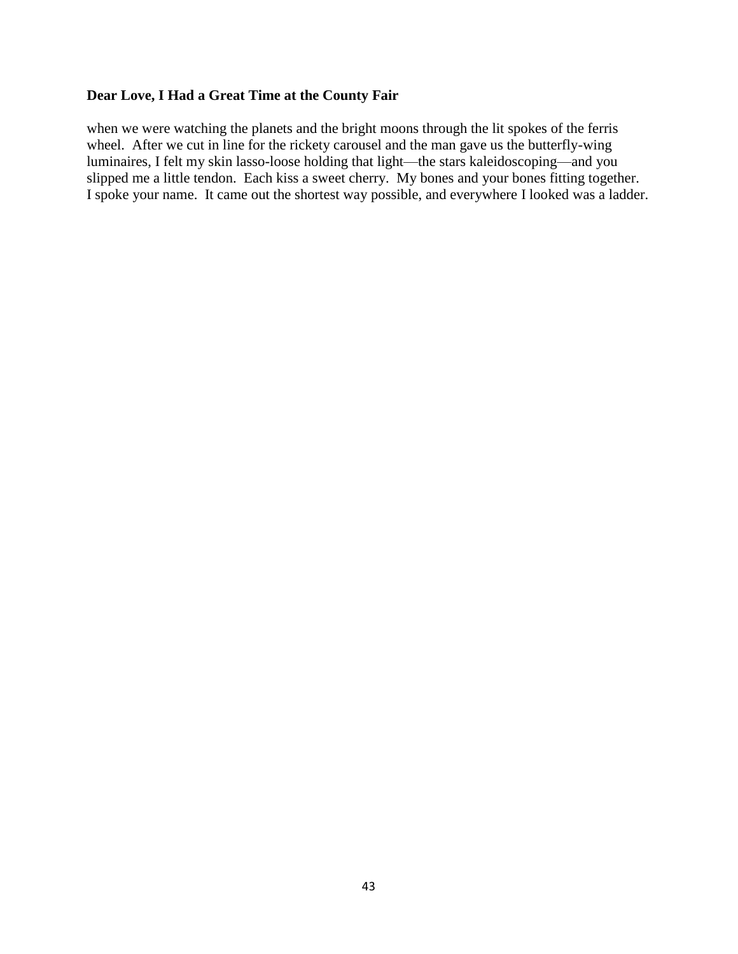## **Dear Love, I Had a Great Time at the County Fair**

when we were watching the planets and the bright moons through the lit spokes of the ferris wheel. After we cut in line for the rickety carousel and the man gave us the butterfly-wing luminaires, I felt my skin lasso-loose holding that light—the stars kaleidoscoping—and you slipped me a little tendon. Each kiss a sweet cherry. My bones and your bones fitting together. I spoke your name. It came out the shortest way possible, and everywhere I looked was a ladder.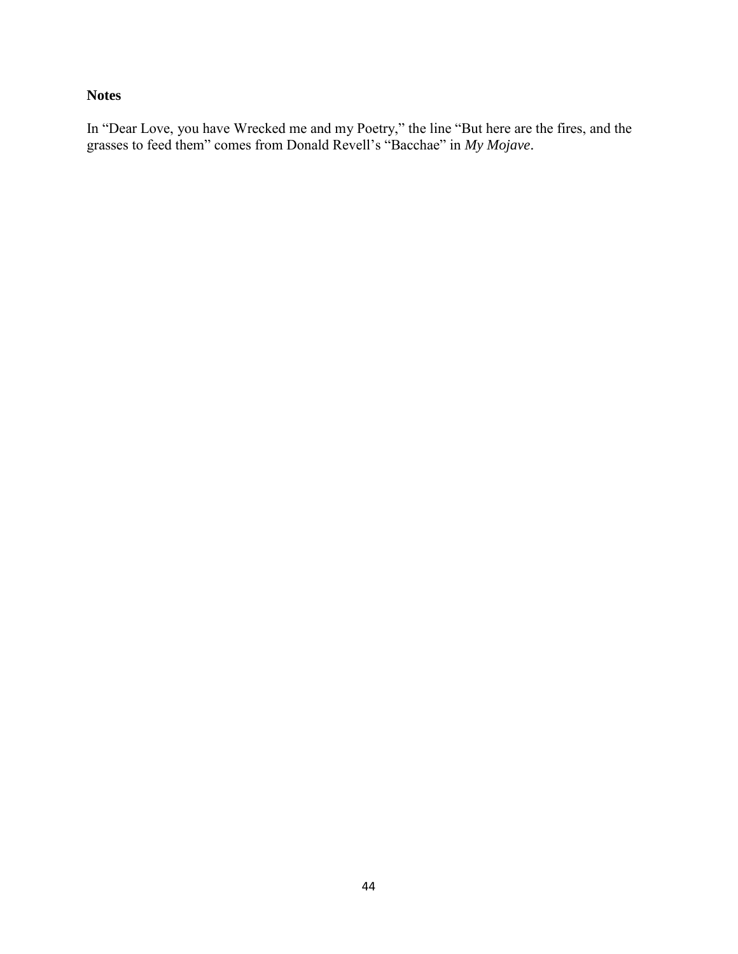## **Notes**

In "Dear Love, you have Wrecked me and my Poetry," the line "But here are the fires, and the grasses to feed them" comes from Donald Revell's "Bacchae" in *My Mojave*.